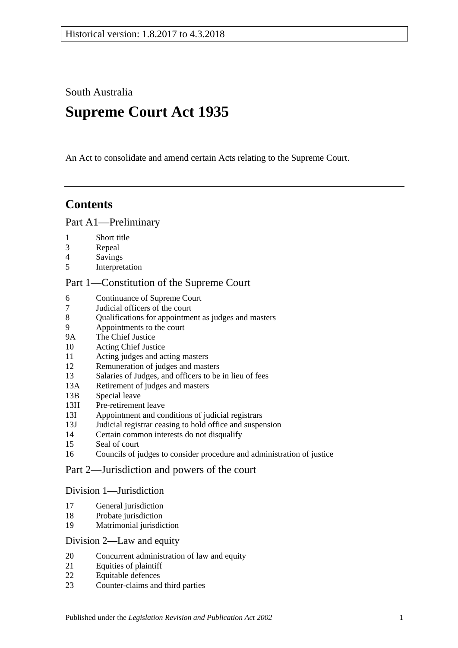South Australia

# **Supreme Court Act 1935**

An Act to consolidate and amend certain Acts relating to the Supreme Court.

# **Contents**

## [Part A1—Preliminary](#page-3-0)

- 1 [Short title](#page-3-1)
- 3 [Repeal](#page-3-2)
- 4 [Savings](#page-3-3)
- 5 [Interpretation](#page-3-4)

## [Part 1—Constitution of the Supreme Court](#page-5-0)

- 6 [Continuance of](#page-5-1) Supreme Court<br>7 Judicial officers of the court
- 7 [Judicial officers of the court](#page-5-2)
- 8 [Qualifications for appointment as judges and masters](#page-5-3)
- 9 [Appointments to the court](#page-6-0)
- 9A [The Chief Justice](#page-6-1)
- 10 [Acting Chief Justice](#page-6-2)
- 11 [Acting judges and acting masters](#page-6-3)
- 12 [Remuneration of judges and masters](#page-7-0)
- 13 [Salaries of Judges, and officers to be in lieu of fees](#page-7-1)<br>13A Retirement of iudges and masters
- [Retirement of judges and masters](#page-7-2)
- 13B [Special leave](#page-7-3)
- 13H [Pre-retirement leave](#page-8-0)
- 13I [Appointment and conditions of judicial registrars](#page-9-0)
- 13J [Judicial registrar ceasing to hold office and suspension](#page-10-0)
- 14 [Certain common interests do not disqualify](#page-10-1)
- 15 [Seal of court](#page-11-0)
- 16 [Councils of judges to consider procedure and administration of justice](#page-11-1)

## [Part 2—Jurisdiction and powers of the court](#page-11-2)

### [Division 1—Jurisdiction](#page-11-3)

- 17 [General jurisdiction](#page-11-4)
- 18 [Probate jurisdiction](#page-12-0)
- 19 [Matrimonial jurisdiction](#page-12-1)

### [Division 2—Law and equity](#page-12-2)

- 20 [Concurrent administration of law and equity](#page-12-3)
- 21 [Equities of plaintiff](#page-12-4)
- 22 [Equitable defences](#page-13-0)
- 23 [Counter-claims and third parties](#page-13-1)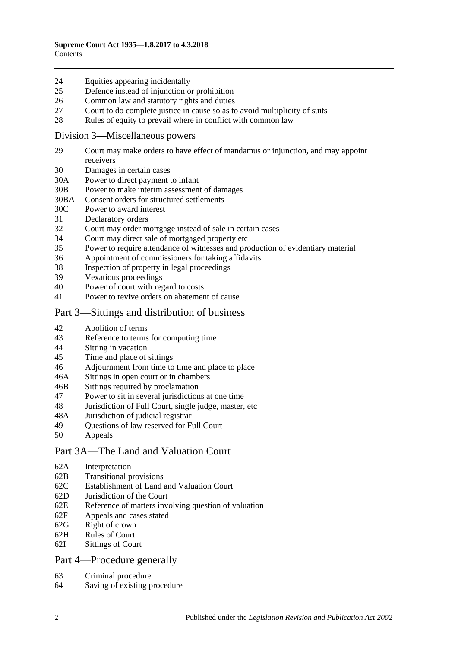#### 24 [Equities appearing incidentally](#page-13-2)

- 25 [Defence instead of injunction or prohibition](#page-13-3)
- 26 [Common law and statutory rights and duties](#page-14-0)
- 27 [Court to do complete justice in cause so as to avoid multiplicity of suits](#page-14-1)
- 28 [Rules of equity to prevail where in conflict with common law](#page-14-2)

#### [Division 3—Miscellaneous powers](#page-14-3)

- 29 [Court may make orders to have effect of mandamus or injunction, and may appoint](#page-14-4)  [receivers](#page-14-4)
- 30 [Damages in certain cases](#page-15-0)
- 30A [Power to direct payment to infant](#page-15-1)
- 30B [Power to make interim assessment of damages](#page-15-2)
- 30BA [Consent orders for structured settlements](#page-18-0)
- 30C [Power to award interest](#page-18-1)
- 31 [Declaratory orders](#page-19-0)
- 32 [Court may order mortgage instead of sale in certain cases](#page-19-1)
- 34 [Court may direct sale of mortgaged property etc](#page-19-2)
- 35 [Power to require attendance of witnesses and production of evidentiary material](#page-19-3)
- 36 [Appointment of commissioners for taking affidavits](#page-20-0)
- 38 [Inspection of property in legal proceedings](#page-20-1)<br>39 Vexations proceedings
- [Vexatious proceedings](#page-20-2)
- 40 [Power of court with regard to costs](#page-21-0)
- 41 [Power to revive orders on abatement of cause](#page-21-1)

### [Part 3—Sittings and distribution of business](#page-21-2)

- 42 [Abolition of terms](#page-21-3)
- 43 [Reference to terms for computing time](#page-21-4)
- 44 Sitting [in vacation](#page-21-5)
- 45 [Time and place of sittings](#page-22-0)
- 46 [Adjournment from time to time and place to place](#page-22-1)
- 46A [Sittings in open court or in chambers](#page-22-2)
- 46B [Sittings required by proclamation](#page-22-3)
- 47 [Power to sit in several jurisdictions at one time](#page-22-4)
- 48 [Jurisdiction of Full Court, single judge, master, etc](#page-22-5)
- 48A [Jurisdiction of judicial registrar](#page-23-0)
- 49 [Questions of law reserved for Full Court](#page-23-1)
- 50 [Appeals](#page-23-2)

# [Part 3A—The Land and Valuation Court](#page-25-0)

- 62A [Interpretation](#page-25-1)
- 62B [Transitional provisions](#page-25-2)
- 62C [Establishment of Land and Valuation Court](#page-25-3)
- 62D [Jurisdiction of the Court](#page-26-0)
- 62E [Reference of matters involving question of valuation](#page-27-0)
- 62F [Appeals and cases stated](#page-27-1)
- 62G [Right of crown](#page-27-2)
- 62H [Rules of Court](#page-27-3)
- 62I [Sittings of Court](#page-28-0)

## [Part 4—Procedure generally](#page-28-1)

- 63 [Criminal procedure](#page-28-2)
- 64 [Saving of existing procedure](#page-28-3)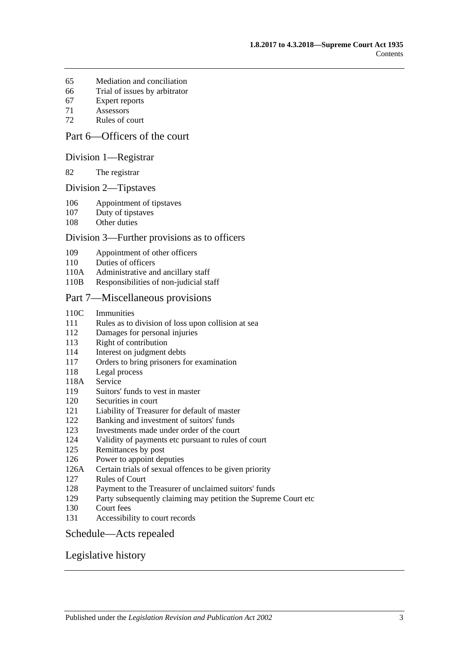- [Mediation and conciliation](#page-28-4)
- [Trial of issues by arbitrator](#page-29-0)
- [Expert reports](#page-29-1)
- [Assessors](#page-29-2)
- [Rules of court](#page-29-3)

# [Part 6—Officers of the court](#page-31-0)

#### [Division 1—Registrar](#page-31-1)

[The registrar](#page-31-2)

#### [Division 2—Tipstaves](#page-31-3)

- [Appointment of tipstaves](#page-31-4)
- [Duty of tipstaves](#page-31-5)
- [Other duties](#page-31-6)

#### [Division 3—Further provisions as to officers](#page-32-0)

- [Appointment of other officers](#page-32-1)
- [Duties of officers](#page-32-2)
- 110A [Administrative and ancillary staff](#page-32-3)
- 110B [Responsibilities of non-judicial staff](#page-32-4)

#### [Part 7—Miscellaneous provisions](#page-32-5)

- 110C [Immunities](#page-32-6)
- Rules as to division [of loss upon collision at sea](#page-33-0)
- [Damages for personal injuries](#page-33-1)
- [Right of contribution](#page-33-2)
- [Interest on judgment debts](#page-34-0)
- [Orders to bring prisoners for examination](#page-34-1)
- [Legal process](#page-34-2)
- 118A [Service](#page-34-3)
- [Suitors' funds to vest in master](#page-34-4)
- [Securities in court](#page-35-0)
- [Liability of Treasurer for default of master](#page-35-1)
- [Banking and investment of suitors' funds](#page-35-2)
- [Investments made under order of the court](#page-35-3)
- [Validity of payments etc pursuant to rules of court](#page-35-4)
- [Remittances by post](#page-35-5)
- [Power to appoint deputies](#page-36-0)
- 126A [Certain trials of sexual offences to be given priority](#page-36-1)
- [Rules of Court](#page-36-2)
- [Payment to the Treasurer of unclaimed suitors' funds](#page-37-0)
- [Party subsequently claiming may petition the Supreme Court etc](#page-37-1)
- [Court fees](#page-37-2)
- [Accessibility to court records](#page-37-3)

#### [Schedule—Acts repealed](#page-39-0)

### [Legislative history](#page-41-0)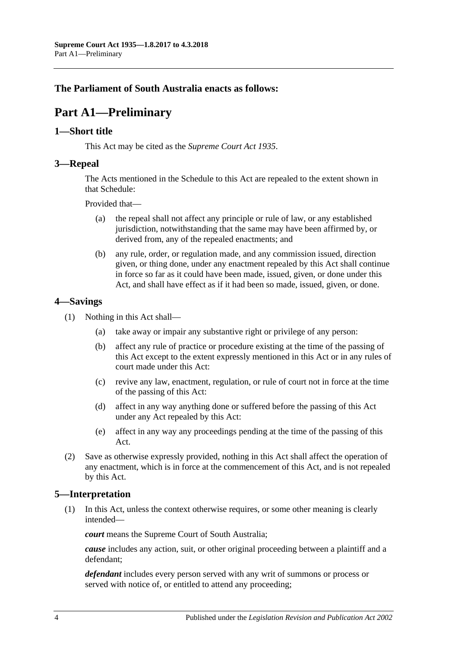# <span id="page-3-0"></span>**The Parliament of South Australia enacts as follows:**

# **Part A1—Preliminary**

### <span id="page-3-1"></span>**1—Short title**

This Act may be cited as the *Supreme Court Act 1935*.

### <span id="page-3-2"></span>**3—Repeal**

The Acts mentioned in the [Schedule](#page-39-0) to this Act are repealed to the extent shown in that [Schedule:](#page-39-0)

Provided that—

- (a) the repeal shall not affect any principle or rule of law, or any established jurisdiction, notwithstanding that the same may have been affirmed by, or derived from, any of the repealed enactments; and
- (b) any rule, order, or regulation made, and any commission issued, direction given, or thing done, under any enactment repealed by this Act shall continue in force so far as it could have been made, issued, given, or done under this Act, and shall have effect as if it had been so made, issued, given, or done.

## <span id="page-3-3"></span>**4—Savings**

- (1) Nothing in this Act shall—
	- (a) take away or impair any substantive right or privilege of any person:
	- (b) affect any rule of practice or procedure existing at the time of the passing of this Act except to the extent expressly mentioned in this Act or in any rules of court made under this Act:
	- (c) revive any law, enactment, regulation, or rule of court not in force at the time of the passing of this Act:
	- (d) affect in any way anything done or suffered before the passing of this Act under any Act repealed by this Act:
	- (e) affect in any way any proceedings pending at the time of the passing of this Act.
- (2) Save as otherwise expressly provided, nothing in this Act shall affect the operation of any enactment, which is in force at the commencement of this Act, and is not repealed by this Act.

## <span id="page-3-4"></span>**5—Interpretation**

(1) In this Act, unless the context otherwise requires, or some other meaning is clearly intended—

*court* means the Supreme Court of South Australia;

*cause* includes any action, suit, or other original proceeding between a plaintiff and a defendant;

*defendant* includes every person served with any writ of summons or process or served with notice of, or entitled to attend any proceeding;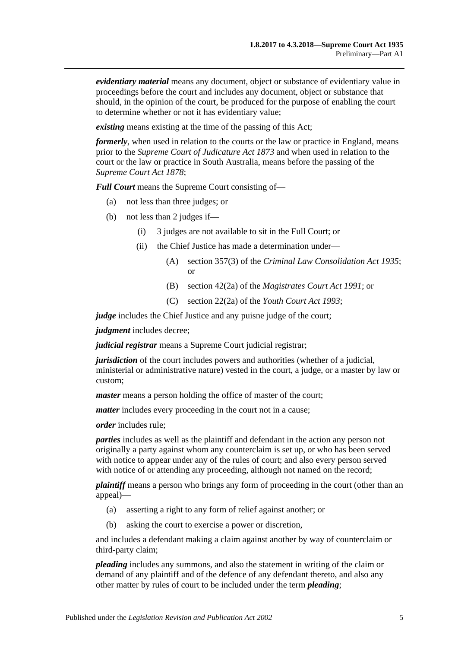*evidentiary material* means any document, object or substance of evidentiary value in proceedings before the court and includes any document, object or substance that should, in the opinion of the court, be produced for the purpose of enabling the court to determine whether or not it has evidentiary value;

*existing* means existing at the time of the passing of this Act;

*formerly*, when used in relation to the courts or the law or practice in England, means prior to the *[Supreme Court of Judicature Act](http://www.legislation.sa.gov.au/index.aspx?action=legref&type=act&legtitle=Supreme%20Court%20of%20Judicature%20Act%201873) 1873* and when used in relation to the court or the law or practice in South Australia, means before the passing of the *[Supreme Court Act](http://www.legislation.sa.gov.au/index.aspx?action=legref&type=act&legtitle=Supreme%20Court%20Act%201878) 1878*;

*Full Court* means the Supreme Court consisting of—

- (a) not less than three judges; or
- (b) not less than 2 judges if—
	- (i) 3 judges are not available to sit in the Full Court; or
	- (ii) the Chief Justice has made a determination under—
		- (A) section 357(3) of the *[Criminal Law Consolidation Act](http://www.legislation.sa.gov.au/index.aspx?action=legref&type=act&legtitle=Criminal%20Law%20Consolidation%20Act%201935) 1935*; or
		- (B) section 42(2a) of the *[Magistrates Court Act](http://www.legislation.sa.gov.au/index.aspx?action=legref&type=act&legtitle=Magistrates%20Court%20Act%201991) 1991*; or
		- (C) section 22(2a) of the *[Youth Court Act](http://www.legislation.sa.gov.au/index.aspx?action=legref&type=act&legtitle=Youth%20Court%20Act%201993) 1993*;

*judge* includes the Chief Justice and any puisne judge of the court;

*judgment* includes decree;

*judicial registrar* means a Supreme Court judicial registrar;

*jurisdiction* of the court includes powers and authorities (whether of a judicial, ministerial or administrative nature) vested in the court, a judge, or a master by law or custom;

*master* means a person holding the office of master of the court;

*matter* includes every proceeding in the court not in a cause;

*order* includes rule;

*parties* includes as well as the plaintiff and defendant in the action any person not originally a party against whom any counterclaim is set up, or who has been served with notice to appear under any of the rules of court; and also every person served with notice of or attending any proceeding, although not named on the record;

*plaintiff* means a person who brings any form of proceeding in the court (other than an appeal)—

- (a) asserting a right to any form of relief against another; or
- (b) asking the court to exercise a power or discretion,

and includes a defendant making a claim against another by way of counterclaim or third-party claim;

*pleading* includes any summons, and also the statement in writing of the claim or demand of any plaintiff and of the defence of any defendant thereto, and also any other matter by rules of court to be included under the term *pleading*;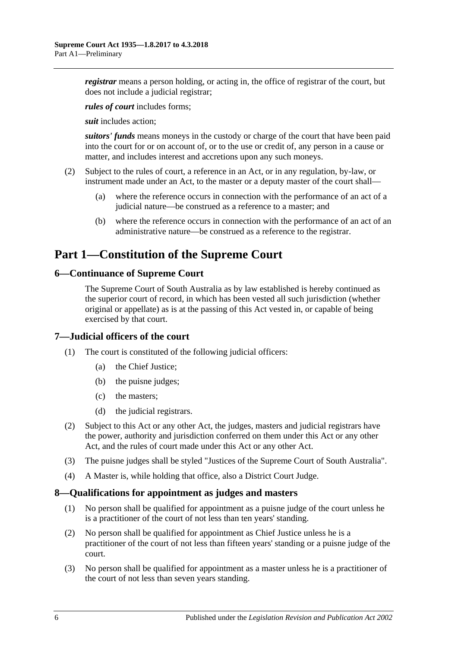*registrar* means a person holding, or acting in, the office of registrar of the court, but does not include a judicial registrar;

*rules of court* includes forms;

*suit* includes action;

*suitors' funds* means moneys in the custody or charge of the court that have been paid into the court for or on account of, or to the use or credit of, any person in a cause or matter, and includes interest and accretions upon any such moneys.

- (2) Subject to the rules of court, a reference in an Act, or in any regulation, by-law, or instrument made under an Act, to the master or a deputy master of the court shall—
	- (a) where the reference occurs in connection with the performance of an act of a judicial nature—be construed as a reference to a master; and
	- (b) where the reference occurs in connection with the performance of an act of an administrative nature—be construed as a reference to the registrar.

# <span id="page-5-0"></span>**Part 1—Constitution of the Supreme Court**

## <span id="page-5-1"></span>**6—Continuance of Supreme Court**

The Supreme Court of South Australia as by law established is hereby continued as the superior court of record, in which has been vested all such jurisdiction (whether original or appellate) as is at the passing of this Act vested in, or capable of being exercised by that court.

## <span id="page-5-2"></span>**7—Judicial officers of the court**

- (1) The court is constituted of the following judicial officers:
	- (a) the Chief Justice;
	- (b) the puisne judges;
	- (c) the masters;
	- (d) the judicial registrars.
- (2) Subject to this Act or any other Act, the judges, masters and judicial registrars have the power, authority and jurisdiction conferred on them under this Act or any other Act, and the rules of court made under this Act or any other Act.
- (3) The puisne judges shall be styled "Justices of the Supreme Court of South Australia".
- (4) A Master is, while holding that office, also a District Court Judge.

### <span id="page-5-3"></span>**8—Qualifications for appointment as judges and masters**

- (1) No person shall be qualified for appointment as a puisne judge of the court unless he is a practitioner of the court of not less than ten years' standing.
- (2) No person shall be qualified for appointment as Chief Justice unless he is a practitioner of the court of not less than fifteen years' standing or a puisne judge of the court.
- (3) No person shall be qualified for appointment as a master unless he is a practitioner of the court of not less than seven years standing.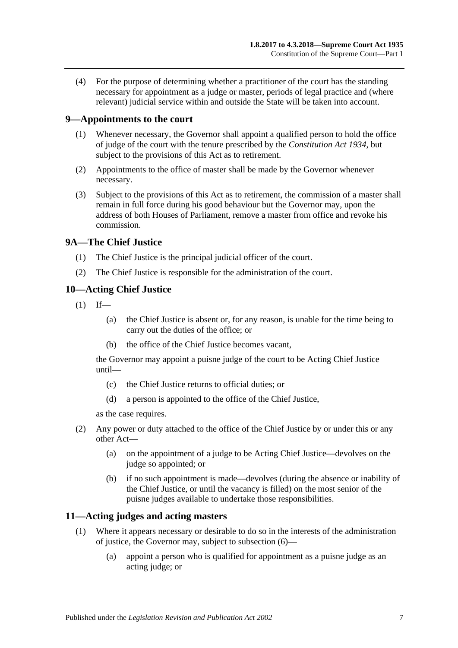(4) For the purpose of determining whether a practitioner of the court has the standing necessary for appointment as a judge or master, periods of legal practice and (where relevant) judicial service within and outside the State will be taken into account.

# <span id="page-6-0"></span>**9—Appointments to the court**

- (1) Whenever necessary, the Governor shall appoint a qualified person to hold the office of judge of the court with the tenure prescribed by the *[Constitution Act](http://www.legislation.sa.gov.au/index.aspx?action=legref&type=act&legtitle=Constitution%20Act%201934) 1934*, but subject to the provisions of this Act as to retirement.
- (2) Appointments to the office of master shall be made by the Governor whenever necessary.
- (3) Subject to the provisions of this Act as to retirement, the commission of a master shall remain in full force during his good behaviour but the Governor may, upon the address of both Houses of Parliament, remove a master from office and revoke his commission.

# <span id="page-6-1"></span>**9A—The Chief Justice**

- (1) The Chief Justice is the principal judicial officer of the court.
- (2) The Chief Justice is responsible for the administration of the court.

# <span id="page-6-2"></span>**10—Acting Chief Justice**

- $(1)$  If—
	- (a) the Chief Justice is absent or, for any reason, is unable for the time being to carry out the duties of the office; or
	- (b) the office of the Chief Justice becomes vacant,

the Governor may appoint a puisne judge of the court to be Acting Chief Justice until—

- (c) the Chief Justice returns to official duties; or
- (d) a person is appointed to the office of the Chief Justice,

as the case requires.

- (2) Any power or duty attached to the office of the Chief Justice by or under this or any other Act—
	- (a) on the appointment of a judge to be Acting Chief Justice—devolves on the judge so appointed; or
	- (b) if no such appointment is made—devolves (during the absence or inability of the Chief Justice, or until the vacancy is filled) on the most senior of the puisne judges available to undertake those responsibilities.

# <span id="page-6-4"></span><span id="page-6-3"></span>**11—Acting judges and acting masters**

- (1) Where it appears necessary or desirable to do so in the interests of the administration of justice, the Governor may, subject to [subsection](#page-7-4) (6)—
	- (a) appoint a person who is qualified for appointment as a puisne judge as an acting judge; or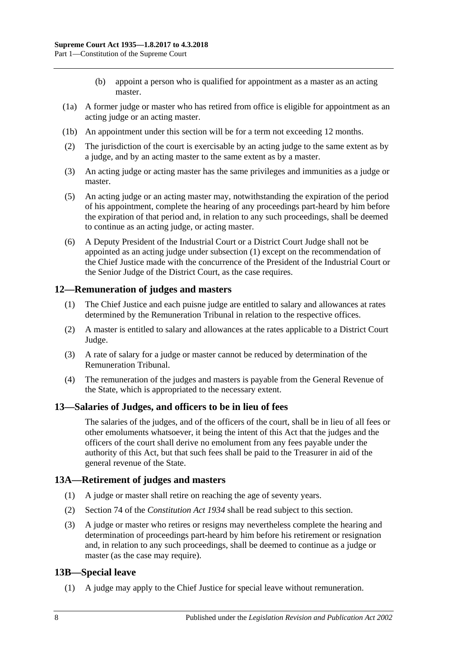- (b) appoint a person who is qualified for appointment as a master as an acting master.
- (1a) A former judge or master who has retired from office is eligible for appointment as an acting judge or an acting master.
- (1b) An appointment under this section will be for a term not exceeding 12 months.
- (2) The jurisdiction of the court is exercisable by an acting judge to the same extent as by a judge, and by an acting master to the same extent as by a master.
- (3) An acting judge or acting master has the same privileges and immunities as a judge or master.
- (5) An acting judge or an acting master may, notwithstanding the expiration of the period of his appointment, complete the hearing of any proceedings part-heard by him before the expiration of that period and, in relation to any such proceedings, shall be deemed to continue as an acting judge, or acting master.
- <span id="page-7-4"></span>(6) A Deputy President of the Industrial Court or a District Court Judge shall not be appointed as an acting judge under [subsection](#page-6-4) (1) except on the recommendation of the Chief Justice made with the concurrence of the President of the Industrial Court or the Senior Judge of the District Court, as the case requires.

## <span id="page-7-0"></span>**12—Remuneration of judges and masters**

- (1) The Chief Justice and each puisne judge are entitled to salary and allowances at rates determined by the Remuneration Tribunal in relation to the respective offices.
- (2) A master is entitled to salary and allowances at the rates applicable to a District Court Judge.
- (3) A rate of salary for a judge or master cannot be reduced by determination of the Remuneration Tribunal.
- (4) The remuneration of the judges and masters is payable from the General Revenue of the State, which is appropriated to the necessary extent.

### <span id="page-7-1"></span>**13—Salaries of Judges, and officers to be in lieu of fees**

The salaries of the judges, and of the officers of the court, shall be in lieu of all fees or other emoluments whatsoever, it being the intent of this Act that the judges and the officers of the court shall derive no emolument from any fees payable under the authority of this Act, but that such fees shall be paid to the Treasurer in aid of the general revenue of the State.

## <span id="page-7-2"></span>**13A—Retirement of judges and masters**

- (1) A judge or master shall retire on reaching the age of seventy years.
- (2) Section 74 of the *[Constitution Act](http://www.legislation.sa.gov.au/index.aspx?action=legref&type=act&legtitle=Constitution%20Act%201934) 1934* shall be read subject to this section.
- (3) A judge or master who retires or resigns may nevertheless complete the hearing and determination of proceedings part-heard by him before his retirement or resignation and, in relation to any such proceedings, shall be deemed to continue as a judge or master (as the case may require).

## <span id="page-7-3"></span>**13B—Special leave**

(1) A judge may apply to the Chief Justice for special leave without remuneration.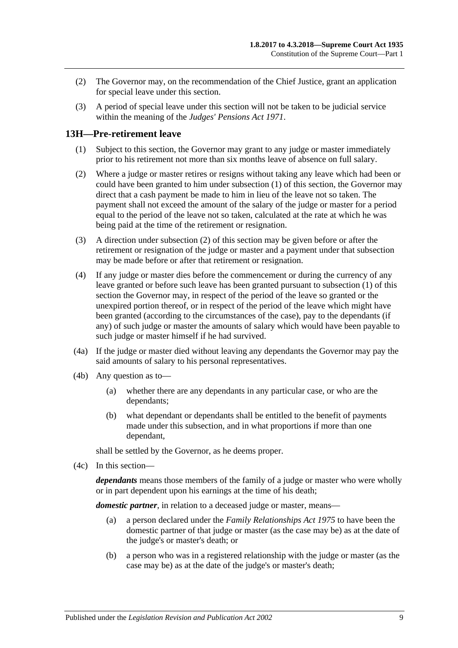- (2) The Governor may, on the recommendation of the Chief Justice, grant an application for special leave under this section.
- (3) A period of special leave under this section will not be taken to be judicial service within the meaning of the *[Judges' Pensions Act](http://www.legislation.sa.gov.au/index.aspx?action=legref&type=act&legtitle=Judges%20Pensions%20Act%201971) 1971*.

## <span id="page-8-1"></span><span id="page-8-0"></span>**13H—Pre-retirement leave**

- (1) Subject to this section, the Governor may grant to any judge or master immediately prior to his retirement not more than six months leave of absence on full salary.
- <span id="page-8-2"></span>(2) Where a judge or master retires or resigns without taking any leave which had been or could have been granted to him under [subsection](#page-8-1) (1) of this section, the Governor may direct that a cash payment be made to him in lieu of the leave not so taken. The payment shall not exceed the amount of the salary of the judge or master for a period equal to the period of the leave not so taken, calculated at the rate at which he was being paid at the time of the retirement or resignation.
- (3) A direction under [subsection](#page-8-2) (2) of this section may be given before or after the retirement or resignation of the judge or master and a payment under that subsection may be made before or after that retirement or resignation.
- (4) If any judge or master dies before the commencement or during the currency of any leave granted or before such leave has been granted pursuant to [subsection](#page-8-1) (1) of this section the Governor may, in respect of the period of the leave so granted or the unexpired portion thereof, or in respect of the period of the leave which might have been granted (according to the circumstances of the case), pay to the dependants (if any) of such judge or master the amounts of salary which would have been payable to such judge or master himself if he had survived.
- (4a) If the judge or master died without leaving any dependants the Governor may pay the said amounts of salary to his personal representatives.
- (4b) Any question as to—
	- (a) whether there are any dependants in any particular case, or who are the dependants;
	- (b) what dependant or dependants shall be entitled to the benefit of payments made under this subsection, and in what proportions if more than one dependant,

shall be settled by the Governor, as he deems proper.

(4c) In this section—

*dependants* means those members of the family of a judge or master who were wholly or in part dependent upon his earnings at the time of his death;

*domestic partner*, in relation to a deceased judge or master, means—

- (a) a person declared under the *[Family Relationships Act](http://www.legislation.sa.gov.au/index.aspx?action=legref&type=act&legtitle=Family%20Relationships%20Act%201975) 1975* to have been the domestic partner of that judge or master (as the case may be) as at the date of the judge's or master's death; or
- (b) a person who was in a registered relationship with the judge or master (as the case may be) as at the date of the judge's or master's death;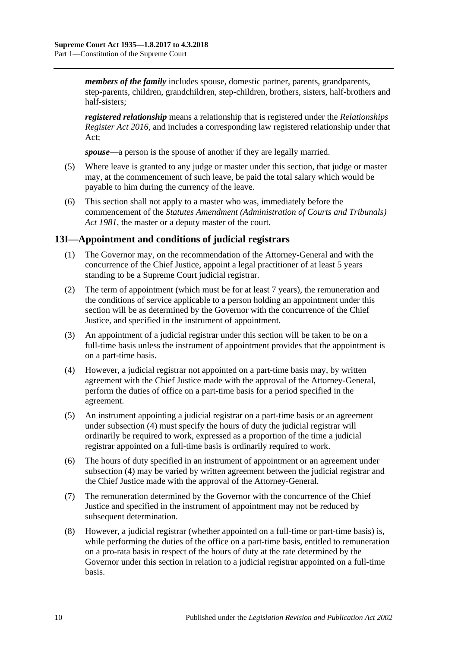*members of the family* includes spouse, domestic partner, parents, grandparents, step-parents, children, grandchildren, step-children, brothers, sisters, half-brothers and half-sisters;

*registered relationship* means a relationship that is registered under the *[Relationships](http://www.legislation.sa.gov.au/index.aspx?action=legref&type=act&legtitle=Relationships%20Register%20Act%202016)  [Register Act 2016](http://www.legislation.sa.gov.au/index.aspx?action=legref&type=act&legtitle=Relationships%20Register%20Act%202016)*, and includes a corresponding law registered relationship under that Act;

*spouse*—a person is the spouse of another if they are legally married.

- (5) Where leave is granted to any judge or master under this section, that judge or master may, at the commencement of such leave, be paid the total salary which would be payable to him during the currency of the leave.
- (6) This section shall not apply to a master who was, immediately before the commencement of the *[Statutes Amendment \(Administration of Courts and Tribunals\)](http://www.legislation.sa.gov.au/index.aspx?action=legref&type=act&legtitle=Statutes%20Amendment%20(Administration%20of%20Courts%20and%20Tribunals)%20Act%201981)  Act [1981](http://www.legislation.sa.gov.au/index.aspx?action=legref&type=act&legtitle=Statutes%20Amendment%20(Administration%20of%20Courts%20and%20Tribunals)%20Act%201981)*, the master or a deputy master of the court.

## <span id="page-9-0"></span>**13I—Appointment and conditions of judicial registrars**

- (1) The Governor may, on the recommendation of the Attorney-General and with the concurrence of the Chief Justice, appoint a legal practitioner of at least 5 years standing to be a Supreme Court judicial registrar.
- (2) The term of appointment (which must be for at least 7 years), the remuneration and the conditions of service applicable to a person holding an appointment under this section will be as determined by the Governor with the concurrence of the Chief Justice, and specified in the instrument of appointment.
- (3) An appointment of a judicial registrar under this section will be taken to be on a full-time basis unless the instrument of appointment provides that the appointment is on a part-time basis.
- <span id="page-9-1"></span>(4) However, a judicial registrar not appointed on a part-time basis may, by written agreement with the Chief Justice made with the approval of the Attorney-General, perform the duties of office on a part-time basis for a period specified in the agreement.
- (5) An instrument appointing a judicial registrar on a part-time basis or an agreement under [subsection](#page-9-1) (4) must specify the hours of duty the judicial registrar will ordinarily be required to work, expressed as a proportion of the time a judicial registrar appointed on a full-time basis is ordinarily required to work.
- (6) The hours of duty specified in an instrument of appointment or an agreement under [subsection](#page-9-1) (4) may be varied by written agreement between the judicial registrar and the Chief Justice made with the approval of the Attorney-General.
- (7) The remuneration determined by the Governor with the concurrence of the Chief Justice and specified in the instrument of appointment may not be reduced by subsequent determination.
- (8) However, a judicial registrar (whether appointed on a full-time or part-time basis) is, while performing the duties of the office on a part-time basis, entitled to remuneration on a pro-rata basis in respect of the hours of duty at the rate determined by the Governor under this section in relation to a judicial registrar appointed on a full-time basis.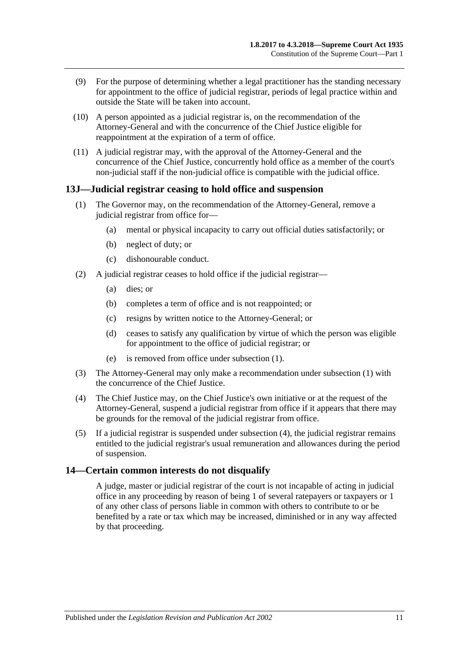- (9) For the purpose of determining whether a legal practitioner has the standing necessary for appointment to the office of judicial registrar, periods of legal practice within and outside the State will be taken into account.
- (10) A person appointed as a judicial registrar is, on the recommendation of the Attorney-General and with the concurrence of the Chief Justice eligible for reappointment at the expiration of a term of office.
- (11) A judicial registrar may, with the approval of the Attorney-General and the concurrence of the Chief Justice, concurrently hold office as a member of the court's non-judicial staff if the non-judicial office is compatible with the judicial office.

### <span id="page-10-2"></span><span id="page-10-0"></span>**13J—Judicial registrar ceasing to hold office and suspension**

- (1) The Governor may, on the recommendation of the Attorney-General, remove a judicial registrar from office for—
	- (a) mental or physical incapacity to carry out official duties satisfactorily; or
	- (b) neglect of duty; or
	- (c) dishonourable conduct.
- (2) A judicial registrar ceases to hold office if the judicial registrar—
	- (a) dies; or
	- (b) completes a term of office and is not reappointed; or
	- (c) resigns by written notice to the Attorney-General; or
	- (d) ceases to satisfy any qualification by virtue of which the person was eligible for appointment to the office of judicial registrar; or
	- (e) is removed from office under [subsection](#page-10-2) (1).
- (3) The Attorney-General may only make a recommendation under [subsection](#page-10-2) (1) with the concurrence of the Chief Justice.
- <span id="page-10-3"></span>(4) The Chief Justice may, on the Chief Justice's own initiative or at the request of the Attorney-General, suspend a judicial registrar from office if it appears that there may be grounds for the removal of the judicial registrar from office.
- (5) If a judicial registrar is suspended under [subsection](#page-10-3) (4), the judicial registrar remains entitled to the judicial registrar's usual remuneration and allowances during the period of suspension.

### <span id="page-10-1"></span>**14—Certain common interests do not disqualify**

A judge, master or judicial registrar of the court is not incapable of acting in judicial office in any proceeding by reason of being 1 of several ratepayers or taxpayers or 1 of any other class of persons liable in common with others to contribute to or be benefited by a rate or tax which may be increased, diminished or in any way affected by that proceeding.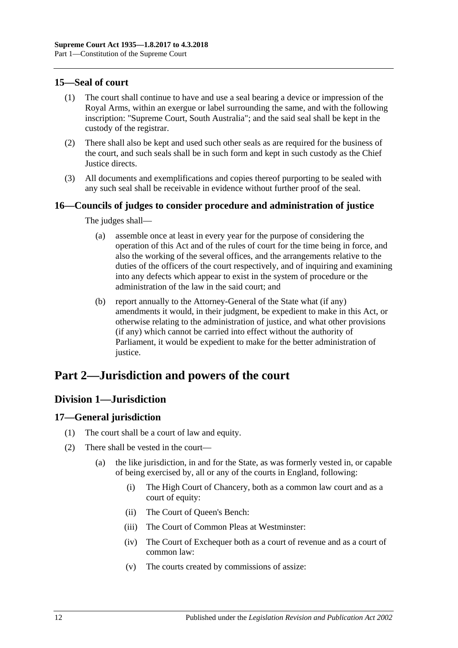# <span id="page-11-0"></span>**15—Seal of court**

- (1) The court shall continue to have and use a seal bearing a device or impression of the Royal Arms, within an exergue or label surrounding the same, and with the following inscription: "Supreme Court, South Australia"; and the said seal shall be kept in the custody of the registrar.
- (2) There shall also be kept and used such other seals as are required for the business of the court, and such seals shall be in such form and kept in such custody as the Chief Justice directs.
- (3) All documents and exemplifications and copies thereof purporting to be sealed with any such seal shall be receivable in evidence without further proof of the seal.

## <span id="page-11-1"></span>**16—Councils of judges to consider procedure and administration of justice**

The judges shall—

- (a) assemble once at least in every year for the purpose of considering the operation of this Act and of the rules of court for the time being in force, and also the working of the several offices, and the arrangements relative to the duties of the officers of the court respectively, and of inquiring and examining into any defects which appear to exist in the system of procedure or the administration of the law in the said court; and
- (b) report annually to the Attorney-General of the State what (if any) amendments it would, in their judgment, be expedient to make in this Act, or otherwise relating to the administration of justice, and what other provisions (if any) which cannot be carried into effect without the authority of Parliament, it would be expedient to make for the better administration of justice.

# <span id="page-11-3"></span><span id="page-11-2"></span>**Part 2—Jurisdiction and powers of the court**

# **Division 1—Jurisdiction**

## <span id="page-11-4"></span>**17—General jurisdiction**

- (1) The court shall be a court of law and equity.
- (2) There shall be vested in the court—
	- (a) the like jurisdiction, in and for the State, as was formerly vested in, or capable of being exercised by, all or any of the courts in England, following:
		- (i) The High Court of Chancery, both as a common law court and as a court of equity:
		- (ii) The Court of Queen's Bench:
		- (iii) The Court of Common Pleas at Westminster:
		- (iv) The Court of Exchequer both as a court of revenue and as a court of common law:
		- (v) The courts created by commissions of assize: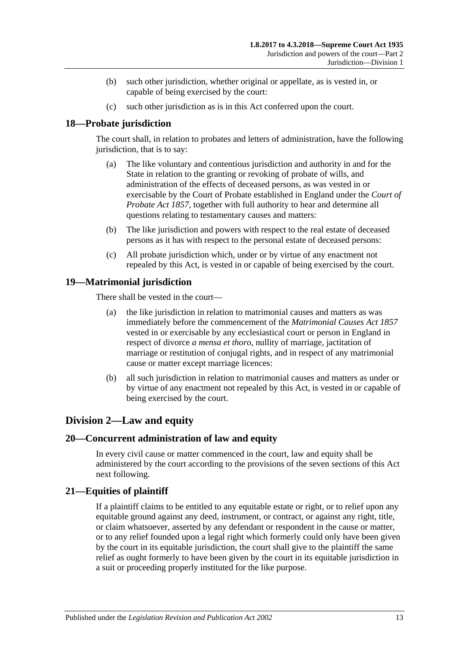- (b) such other jurisdiction, whether original or appellate, as is vested in, or capable of being exercised by the court:
- (c) such other jurisdiction as is in this Act conferred upon the court.

# <span id="page-12-0"></span>**18—Probate jurisdiction**

The court shall, in relation to probates and letters of administration, have the following jurisdiction, that is to say:

- (a) The like voluntary and contentious jurisdiction and authority in and for the State in relation to the granting or revoking of probate of wills, and administration of the effects of deceased persons, as was vested in or exercisable by the Court of Probate established in England under the *[Court of](http://www.legislation.sa.gov.au/index.aspx?action=legref&type=act&legtitle=Court%20of%20Probate%20Act%201857)  [Probate Act](http://www.legislation.sa.gov.au/index.aspx?action=legref&type=act&legtitle=Court%20of%20Probate%20Act%201857) 1857*, together with full authority to hear and determine all questions relating to testamentary causes and matters:
- (b) The like jurisdiction and powers with respect to the real estate of deceased persons as it has with respect to the personal estate of deceased persons:
- (c) All probate jurisdiction which, under or by virtue of any enactment not repealed by this Act, is vested in or capable of being exercised by the court.

# <span id="page-12-1"></span>**19—Matrimonial jurisdiction**

There shall be vested in the court—

- (a) the like jurisdiction in relation to matrimonial causes and matters as was immediately before the commencement of the *[Matrimonial Causes Act](http://www.legislation.sa.gov.au/index.aspx?action=legref&type=act&legtitle=Matrimonial%20Causes%20Act%201857) 1857* vested in or exercisable by any ecclesiastical court or person in England in respect of divorce *a mensa et thoro*, nullity of marriage, jactitation of marriage or restitution of conjugal rights, and in respect of any matrimonial cause or matter except marriage licences:
- (b) all such jurisdiction in relation to matrimonial causes and matters as under or by virtue of any enactment not repealed by this Act, is vested in or capable of being exercised by the court.

# <span id="page-12-2"></span>**Division 2—Law and equity**

## <span id="page-12-3"></span>**20—Concurrent administration of law and equity**

In every civil cause or matter commenced in the court, law and equity shall be administered by the court according to the provisions of the seven sections of this Act next following.

## <span id="page-12-4"></span>**21—Equities of plaintiff**

If a plaintiff claims to be entitled to any equitable estate or right, or to relief upon any equitable ground against any deed, instrument, or contract, or against any right, title, or claim whatsoever, asserted by any defendant or respondent in the cause or matter, or to any relief founded upon a legal right which formerly could only have been given by the court in its equitable jurisdiction, the court shall give to the plaintiff the same relief as ought formerly to have been given by the court in its equitable jurisdiction in a suit or proceeding properly instituted for the like purpose.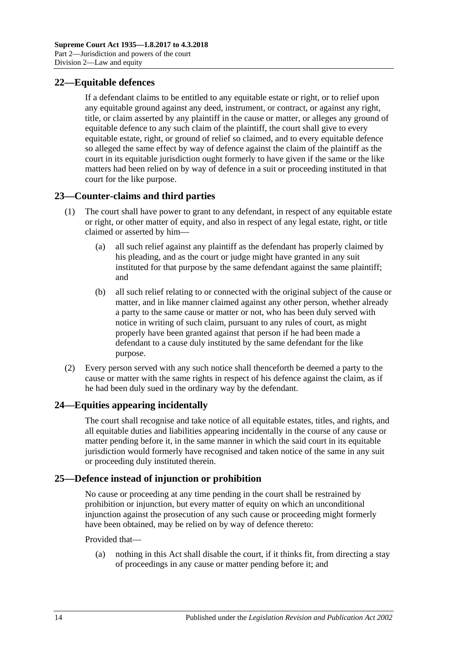# <span id="page-13-0"></span>**22—Equitable defences**

If a defendant claims to be entitled to any equitable estate or right, or to relief upon any equitable ground against any deed, instrument, or contract, or against any right, title, or claim asserted by any plaintiff in the cause or matter, or alleges any ground of equitable defence to any such claim of the plaintiff, the court shall give to every equitable estate, right, or ground of relief so claimed, and to every equitable defence so alleged the same effect by way of defence against the claim of the plaintiff as the court in its equitable jurisdiction ought formerly to have given if the same or the like matters had been relied on by way of defence in a suit or proceeding instituted in that court for the like purpose.

# <span id="page-13-1"></span>**23—Counter-claims and third parties**

- (1) The court shall have power to grant to any defendant, in respect of any equitable estate or right, or other matter of equity, and also in respect of any legal estate, right, or title claimed or asserted by him—
	- (a) all such relief against any plaintiff as the defendant has properly claimed by his pleading, and as the court or judge might have granted in any suit instituted for that purpose by the same defendant against the same plaintiff; and
	- (b) all such relief relating to or connected with the original subject of the cause or matter, and in like manner claimed against any other person, whether already a party to the same cause or matter or not, who has been duly served with notice in writing of such claim, pursuant to any rules of court, as might properly have been granted against that person if he had been made a defendant to a cause duly instituted by the same defendant for the like purpose.
- (2) Every person served with any such notice shall thenceforth be deemed a party to the cause or matter with the same rights in respect of his defence against the claim, as if he had been duly sued in the ordinary way by the defendant.

## <span id="page-13-2"></span>**24—Equities appearing incidentally**

The court shall recognise and take notice of all equitable estates, titles, and rights, and all equitable duties and liabilities appearing incidentally in the course of any cause or matter pending before it, in the same manner in which the said court in its equitable jurisdiction would formerly have recognised and taken notice of the same in any suit or proceeding duly instituted therein.

# <span id="page-13-3"></span>**25—Defence instead of injunction or prohibition**

No cause or proceeding at any time pending in the court shall be restrained by prohibition or injunction, but every matter of equity on which an unconditional injunction against the prosecution of any such cause or proceeding might formerly have been obtained, may be relied on by way of defence thereto:

### Provided that—

(a) nothing in this Act shall disable the court, if it thinks fit, from directing a stay of proceedings in any cause or matter pending before it; and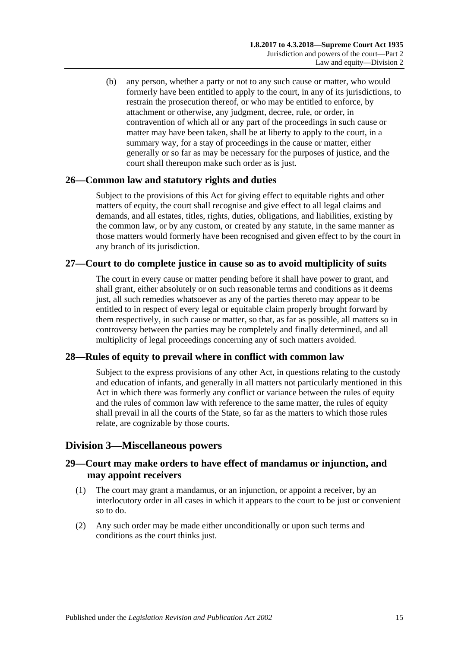(b) any person, whether a party or not to any such cause or matter, who would formerly have been entitled to apply to the court, in any of its jurisdictions, to restrain the prosecution thereof, or who may be entitled to enforce, by attachment or otherwise, any judgment, decree, rule, or order, in contravention of which all or any part of the proceedings in such cause or matter may have been taken, shall be at liberty to apply to the court, in a summary way, for a stay of proceedings in the cause or matter, either generally or so far as may be necessary for the purposes of justice, and the court shall thereupon make such order as is just.

# <span id="page-14-0"></span>**26—Common law and statutory rights and duties**

Subject to the provisions of this Act for giving effect to equitable rights and other matters of equity, the court shall recognise and give effect to all legal claims and demands, and all estates, titles, rights, duties, obligations, and liabilities, existing by the common law, or by any custom, or created by any statute, in the same manner as those matters would formerly have been recognised and given effect to by the court in any branch of its jurisdiction.

## <span id="page-14-1"></span>**27—Court to do complete justice in cause so as to avoid multiplicity of suits**

The court in every cause or matter pending before it shall have power to grant, and shall grant, either absolutely or on such reasonable terms and conditions as it deems just, all such remedies whatsoever as any of the parties thereto may appear to be entitled to in respect of every legal or equitable claim properly brought forward by them respectively, in such cause or matter, so that, as far as possible, all matters so in controversy between the parties may be completely and finally determined, and all multiplicity of legal proceedings concerning any of such matters avoided.

# <span id="page-14-2"></span>**28—Rules of equity to prevail where in conflict with common law**

Subject to the express provisions of any other Act, in questions relating to the custody and education of infants, and generally in all matters not particularly mentioned in this Act in which there was formerly any conflict or variance between the rules of equity and the rules of common law with reference to the same matter, the rules of equity shall prevail in all the courts of the State, so far as the matters to which those rules relate, are cognizable by those courts.

## <span id="page-14-3"></span>**Division 3—Miscellaneous powers**

# <span id="page-14-4"></span>**29—Court may make orders to have effect of mandamus or injunction, and may appoint receivers**

- (1) The court may grant a mandamus, or an injunction, or appoint a receiver, by an interlocutory order in all cases in which it appears to the court to be just or convenient so to do.
- (2) Any such order may be made either unconditionally or upon such terms and conditions as the court thinks just.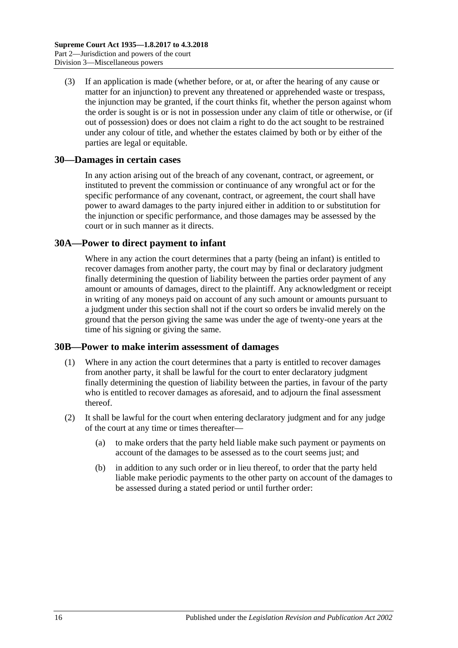(3) If an application is made (whether before, or at, or after the hearing of any cause or matter for an injunction) to prevent any threatened or apprehended waste or trespass, the injunction may be granted, if the court thinks fit, whether the person against whom the order is sought is or is not in possession under any claim of title or otherwise, or (if out of possession) does or does not claim a right to do the act sought to be restrained under any colour of title, and whether the estates claimed by both or by either of the parties are legal or equitable.

### <span id="page-15-0"></span>**30—Damages in certain cases**

In any action arising out of the breach of any covenant, contract, or agreement, or instituted to prevent the commission or continuance of any wrongful act or for the specific performance of any covenant, contract, or agreement, the court shall have power to award damages to the party injured either in addition to or substitution for the injunction or specific performance, and those damages may be assessed by the court or in such manner as it directs.

### <span id="page-15-1"></span>**30A—Power to direct payment to infant**

Where in any action the court determines that a party (being an infant) is entitled to recover damages from another party, the court may by final or declaratory judgment finally determining the question of liability between the parties order payment of any amount or amounts of damages, direct to the plaintiff. Any acknowledgment or receipt in writing of any moneys paid on account of any such amount or amounts pursuant to a judgment under this section shall not if the court so orders be invalid merely on the ground that the person giving the same was under the age of twenty-one years at the time of his signing or giving the same.

### <span id="page-15-2"></span>**30B—Power to make interim assessment of damages**

- (1) Where in any action the court determines that a party is entitled to recover damages from another party, it shall be lawful for the court to enter declaratory judgment finally determining the question of liability between the parties, in favour of the party who is entitled to recover damages as aforesaid, and to adjourn the final assessment thereof.
- <span id="page-15-3"></span>(2) It shall be lawful for the court when entering declaratory judgment and for any judge of the court at any time or times thereafter—
	- (a) to make orders that the party held liable make such payment or payments on account of the damages to be assessed as to the court seems just; and
	- (b) in addition to any such order or in lieu thereof, to order that the party held liable make periodic payments to the other party on account of the damages to be assessed during a stated period or until further order: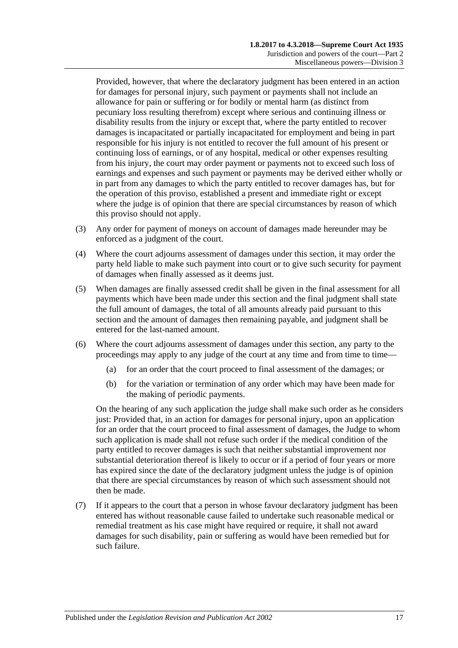Provided, however, that where the declaratory judgment has been entered in an action for damages for personal injury, such payment or payments shall not include an allowance for pain or suffering or for bodily or mental harm (as distinct from pecuniary loss resulting therefrom) except where serious and continuing illness or disability results from the injury or except that, where the party entitled to recover damages is incapacitated or partially incapacitated for employment and being in part responsible for his injury is not entitled to recover the full amount of his present or continuing loss of earnings, or of any hospital, medical or other expenses resulting from his injury, the court may order payment or payments not to exceed such loss of earnings and expenses and such payment or payments may be derived either wholly or in part from any damages to which the party entitled to recover damages has, but for the operation of this proviso, established a present and immediate right or except where the judge is of opinion that there are special circumstances by reason of which this proviso should not apply.

- (3) Any order for payment of moneys on account of damages made hereunder may be enforced as a judgment of the court.
- (4) Where the court adjourns assessment of damages under this section, it may order the party held liable to make such payment into court or to give such security for payment of damages when finally assessed as it deems just.
- (5) When damages are finally assessed credit shall be given in the final assessment for all payments which have been made under this section and the final judgment shall state the full amount of damages, the total of all amounts already paid pursuant to this section and the amount of damages then remaining payable, and judgment shall be entered for the last-named amount.
- (6) Where the court adjourns assessment of damages under this section, any party to the proceedings may apply to any judge of the court at any time and from time to time—
	- (a) for an order that the court proceed to final assessment of the damages; or
	- (b) for the variation or termination of any order which may have been made for the making of periodic payments.

On the hearing of any such application the judge shall make such order as he considers just: Provided that, in an action for damages for personal injury, upon an application for an order that the court proceed to final assessment of damages, the Judge to whom such application is made shall not refuse such order if the medical condition of the party entitled to recover damages is such that neither substantial improvement nor substantial deterioration thereof is likely to occur or if a period of four years or more has expired since the date of the declaratory judgment unless the judge is of opinion that there are special circumstances by reason of which such assessment should not then be made.

(7) If it appears to the court that a person in whose favour declaratory judgment has been entered has without reasonable cause failed to undertake such reasonable medical or remedial treatment as his case might have required or require, it shall not award damages for such disability, pain or suffering as would have been remedied but for such failure.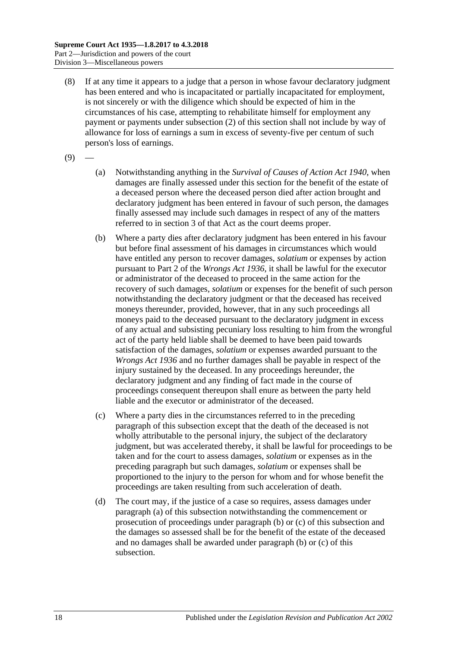- (8) If at any time it appears to a judge that a person in whose favour declaratory judgment has been entered and who is incapacitated or partially incapacitated for employment, is not sincerely or with the diligence which should be expected of him in the circumstances of his case, attempting to rehabilitate himself for employment any payment or payments under [subsection](#page-15-3) (2) of this section shall not include by way of allowance for loss of earnings a sum in excess of seventy-five per centum of such person's loss of earnings.
- <span id="page-17-0"></span> $(9)$
- (a) Notwithstanding anything in the *[Survival of Causes of Action Act](http://www.legislation.sa.gov.au/index.aspx?action=legref&type=act&legtitle=Survival%20of%20Causes%20of%20Action%20Act%201940) 1940*, when damages are finally assessed under this section for the benefit of the estate of a deceased person where the deceased person died after action brought and declaratory judgment has been entered in favour of such person, the damages finally assessed may include such damages in respect of any of the matters referred to in section 3 of that Act as the court deems proper.
- <span id="page-17-1"></span>(b) Where a party dies after declaratory judgment has been entered in his favour but before final assessment of his damages in circumstances which would have entitled any person to recover damages, *solatium* or expenses by action pursuant to Part 2 of the *[Wrongs Act](http://www.legislation.sa.gov.au/index.aspx?action=legref&type=act&legtitle=Wrongs%20Act%201936) 1936*, it shall be lawful for the executor or administrator of the deceased to proceed in the same action for the recovery of such damages, *solatium* or expenses for the benefit of such person notwithstanding the declaratory judgment or that the deceased has received moneys thereunder, provided, however, that in any such proceedings all moneys paid to the deceased pursuant to the declaratory judgment in excess of any actual and subsisting pecuniary loss resulting to him from the wrongful act of the party held liable shall be deemed to have been paid towards satisfaction of the damages, *solatium* or expenses awarded pursuant to the *[Wrongs Act](http://www.legislation.sa.gov.au/index.aspx?action=legref&type=act&legtitle=Wrongs%20Act%201936) 1936* and no further damages shall be payable in respect of the injury sustained by the deceased. In any proceedings hereunder, the declaratory judgment and any finding of fact made in the course of proceedings consequent thereupon shall enure as between the party held liable and the executor or administrator of the deceased.
- <span id="page-17-2"></span>(c) Where a party dies in the circumstances referred to in the preceding paragraph of this subsection except that the death of the deceased is not wholly attributable to the personal injury, the subject of the declaratory judgment, but was accelerated thereby, it shall be lawful for proceedings to be taken and for the court to assess damages, *solatium* or expenses as in the preceding paragraph but such damages, *solatium* or expenses shall be proportioned to the injury to the person for whom and for whose benefit the proceedings are taken resulting from such acceleration of death.
- (d) The court may, if the justice of a case so requires, assess damages under [paragraph](#page-17-0) (a) of this subsection notwithstanding the commencement or prosecution of proceedings under [paragraph](#page-17-1) (b) or [\(c\)](#page-17-2) of this subsection and the damages so assessed shall be for the benefit of the estate of the deceased and no damages shall be awarded under [paragraph](#page-17-1) (b) or [\(c\)](#page-17-2) of this subsection.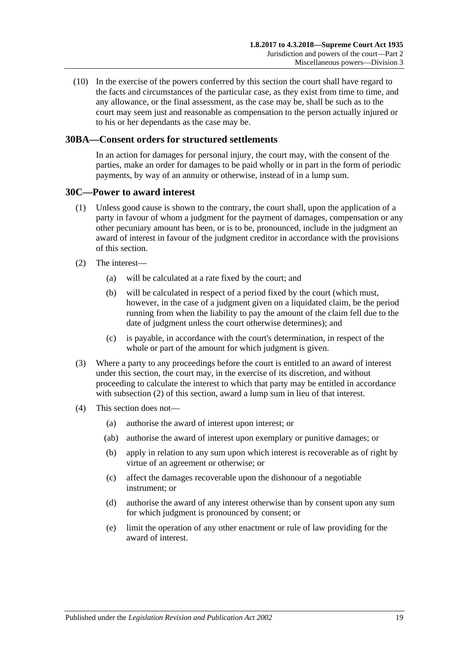(10) In the exercise of the powers conferred by this section the court shall have regard to the facts and circumstances of the particular case, as they exist from time to time, and any allowance, or the final assessment, as the case may be, shall be such as to the court may seem just and reasonable as compensation to the person actually injured or to his or her dependants as the case may be.

## <span id="page-18-0"></span>**30BA—Consent orders for structured settlements**

In an action for damages for personal injury, the court may, with the consent of the parties, make an order for damages to be paid wholly or in part in the form of periodic payments, by way of an annuity or otherwise, instead of in a lump sum.

### <span id="page-18-1"></span>**30C—Power to award interest**

- (1) Unless good cause is shown to the contrary, the court shall, upon the application of a party in favour of whom a judgment for the payment of damages, compensation or any other pecuniary amount has been, or is to be, pronounced, include in the judgment an award of interest in favour of the judgment creditor in accordance with the provisions of this section.
- <span id="page-18-2"></span>(2) The interest—
	- (a) will be calculated at a rate fixed by the court; and
	- (b) will be calculated in respect of a period fixed by the court (which must, however, in the case of a judgment given on a liquidated claim, be the period running from when the liability to pay the amount of the claim fell due to the date of judgment unless the court otherwise determines); and
	- (c) is payable, in accordance with the court's determination, in respect of the whole or part of the amount for which judgment is given.
- (3) Where a party to any proceedings before the court is entitled to an award of interest under this section, the court may, in the exercise of its discretion, and without proceeding to calculate the interest to which that party may be entitled in accordance with [subsection](#page-18-2) (2) of this section, award a lump sum in lieu of that interest.
- (4) This section does not—
	- (a) authorise the award of interest upon interest; or
	- (ab) authorise the award of interest upon exemplary or punitive damages; or
	- (b) apply in relation to any sum upon which interest is recoverable as of right by virtue of an agreement or otherwise; or
	- (c) affect the damages recoverable upon the dishonour of a negotiable instrument; or
	- (d) authorise the award of any interest otherwise than by consent upon any sum for which judgment is pronounced by consent; or
	- (e) limit the operation of any other enactment or rule of law providing for the award of interest.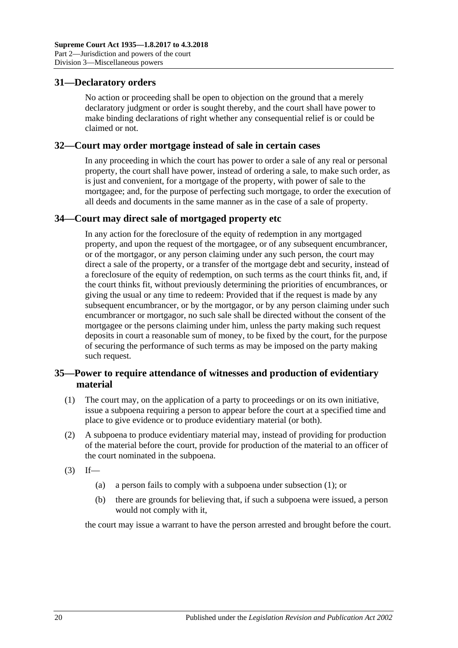### <span id="page-19-0"></span>**31—Declaratory orders**

No action or proceeding shall be open to objection on the ground that a merely declaratory judgment or order is sought thereby, and the court shall have power to make binding declarations of right whether any consequential relief is or could be claimed or not.

### <span id="page-19-1"></span>**32—Court may order mortgage instead of sale in certain cases**

In any proceeding in which the court has power to order a sale of any real or personal property, the court shall have power, instead of ordering a sale, to make such order, as is just and convenient, for a mortgage of the property, with power of sale to the mortgagee; and, for the purpose of perfecting such mortgage, to order the execution of all deeds and documents in the same manner as in the case of a sale of property.

### <span id="page-19-2"></span>**34—Court may direct sale of mortgaged property etc**

In any action for the foreclosure of the equity of redemption in any mortgaged property, and upon the request of the mortgagee, or of any subsequent encumbrancer, or of the mortgagor, or any person claiming under any such person, the court may direct a sale of the property, or a transfer of the mortgage debt and security, instead of a foreclosure of the equity of redemption, on such terms as the court thinks fit, and, if the court thinks fit, without previously determining the priorities of encumbrances, or giving the usual or any time to redeem: Provided that if the request is made by any subsequent encumbrancer, or by the mortgagor, or by any person claiming under such encumbrancer or mortgagor, no such sale shall be directed without the consent of the mortgagee or the persons claiming under him, unless the party making such request deposits in court a reasonable sum of money, to be fixed by the court, for the purpose of securing the performance of such terms as may be imposed on the party making such request.

## <span id="page-19-3"></span>**35—Power to require attendance of witnesses and production of evidentiary material**

- <span id="page-19-4"></span>(1) The court may, on the application of a party to proceedings or on its own initiative, issue a subpoena requiring a person to appear before the court at a specified time and place to give evidence or to produce evidentiary material (or both).
- (2) A subpoena to produce evidentiary material may, instead of providing for production of the material before the court, provide for production of the material to an officer of the court nominated in the subpoena.
- $(3)$  If—
	- (a) a person fails to comply with a subpoena under [subsection](#page-19-4) (1); or
	- (b) there are grounds for believing that, if such a subpoena were issued, a person would not comply with it,

the court may issue a warrant to have the person arrested and brought before the court.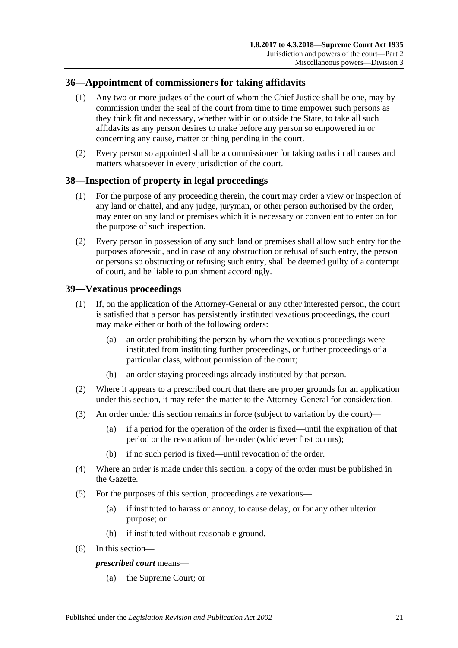## <span id="page-20-0"></span>**36—Appointment of commissioners for taking affidavits**

- (1) Any two or more judges of the court of whom the Chief Justice shall be one, may by commission under the seal of the court from time to time empower such persons as they think fit and necessary, whether within or outside the State, to take all such affidavits as any person desires to make before any person so empowered in or concerning any cause, matter or thing pending in the court.
- (2) Every person so appointed shall be a commissioner for taking oaths in all causes and matters whatsoever in every jurisdiction of the court.

## <span id="page-20-1"></span>**38—Inspection of property in legal proceedings**

- (1) For the purpose of any proceeding therein, the court may order a view or inspection of any land or chattel, and any judge, juryman, or other person authorised by the order, may enter on any land or premises which it is necessary or convenient to enter on for the purpose of such inspection.
- (2) Every person in possession of any such land or premises shall allow such entry for the purposes aforesaid, and in case of any obstruction or refusal of such entry, the person or persons so obstructing or refusing such entry, shall be deemed guilty of a contempt of court, and be liable to punishment accordingly.

# <span id="page-20-2"></span>**39—Vexatious proceedings**

- (1) If, on the application of the Attorney-General or any other interested person, the court is satisfied that a person has persistently instituted vexatious proceedings, the court may make either or both of the following orders:
	- (a) an order prohibiting the person by whom the vexatious proceedings were instituted from instituting further proceedings, or further proceedings of a particular class, without permission of the court;
	- (b) an order staying proceedings already instituted by that person.
- (2) Where it appears to a prescribed court that there are proper grounds for an application under this section, it may refer the matter to the Attorney-General for consideration.
- (3) An order under this section remains in force (subject to variation by the court)—
	- (a) if a period for the operation of the order is fixed—until the expiration of that period or the revocation of the order (whichever first occurs);
	- (b) if no such period is fixed—until revocation of the order.
- (4) Where an order is made under this section, a copy of the order must be published in the Gazette.
- (5) For the purposes of this section, proceedings are vexatious—
	- (a) if instituted to harass or annoy, to cause delay, or for any other ulterior purpose; or
	- (b) if instituted without reasonable ground.
- (6) In this section—

### *prescribed court* means—

(a) the Supreme Court; or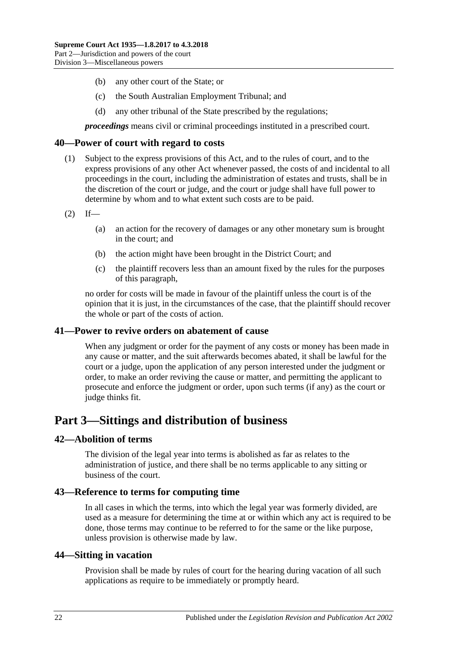- (b) any other court of the State; or
- (c) the South Australian Employment Tribunal; and
- (d) any other tribunal of the State prescribed by the regulations;

*proceedings* means civil or criminal proceedings instituted in a prescribed court.

### <span id="page-21-0"></span>**40—Power of court with regard to costs**

- (1) Subject to the express provisions of this Act, and to the rules of court, and to the express provisions of any other Act whenever passed, the costs of and incidental to all proceedings in the court, including the administration of estates and trusts, shall be in the discretion of the court or judge, and the court or judge shall have full power to determine by whom and to what extent such costs are to be paid.
- $(2)$  If—
	- (a) an action for the recovery of damages or any other monetary sum is brought in the court; and
	- (b) the action might have been brought in the District Court; and
	- (c) the plaintiff recovers less than an amount fixed by the rules for the purposes of this paragraph,

no order for costs will be made in favour of the plaintiff unless the court is of the opinion that it is just, in the circumstances of the case, that the plaintiff should recover the whole or part of the costs of action.

### <span id="page-21-1"></span>**41—Power to revive orders on abatement of cause**

When any judgment or order for the payment of any costs or money has been made in any cause or matter, and the suit afterwards becomes abated, it shall be lawful for the court or a judge, upon the application of any person interested under the judgment or order, to make an order reviving the cause or matter, and permitting the applicant to prosecute and enforce the judgment or order, upon such terms (if any) as the court or judge thinks fit.

# <span id="page-21-2"></span>**Part 3—Sittings and distribution of business**

### <span id="page-21-3"></span>**42—Abolition of terms**

The division of the legal year into terms is abolished as far as relates to the administration of justice, and there shall be no terms applicable to any sitting or business of the court.

### <span id="page-21-4"></span>**43—Reference to terms for computing time**

In all cases in which the terms, into which the legal year was formerly divided, are used as a measure for determining the time at or within which any act is required to be done, those terms may continue to be referred to for the same or the like purpose, unless provision is otherwise made by law.

### <span id="page-21-5"></span>**44—Sitting in vacation**

Provision shall be made by rules of court for the hearing during vacation of all such applications as require to be immediately or promptly heard.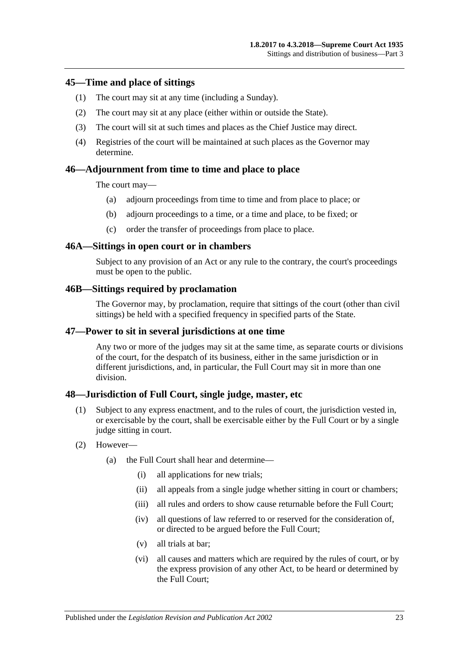### <span id="page-22-0"></span>**45—Time and place of sittings**

- (1) The court may sit at any time (including a Sunday).
- (2) The court may sit at any place (either within or outside the State).
- (3) The court will sit at such times and places as the Chief Justice may direct.
- (4) Registries of the court will be maintained at such places as the Governor may determine.

### <span id="page-22-1"></span>**46—Adjournment from time to time and place to place**

The court may—

- (a) adjourn proceedings from time to time and from place to place; or
- (b) adjourn proceedings to a time, or a time and place, to be fixed; or
- (c) order the transfer of proceedings from place to place.

#### <span id="page-22-2"></span>**46A—Sittings in open court or in chambers**

Subject to any provision of an Act or any rule to the contrary, the court's proceedings must be open to the public.

#### <span id="page-22-3"></span>**46B—Sittings required by proclamation**

The Governor may, by proclamation, require that sittings of the court (other than civil sittings) be held with a specified frequency in specified parts of the State.

### <span id="page-22-4"></span>**47—Power to sit in several jurisdictions at one time**

Any two or more of the judges may sit at the same time, as separate courts or divisions of the court, for the despatch of its business, either in the same jurisdiction or in different jurisdictions, and, in particular, the Full Court may sit in more than one division.

### <span id="page-22-5"></span>**48—Jurisdiction of Full Court, single judge, master, etc**

- (1) Subject to any express enactment, and to the rules of court, the jurisdiction vested in, or exercisable by the court, shall be exercisable either by the Full Court or by a single judge sitting in court.
- (2) However—
	- (a) the Full Court shall hear and determine—
		- (i) all applications for new trials;
		- (ii) all appeals from a single judge whether sitting in court or chambers;
		- (iii) all rules and orders to show cause returnable before the Full Court:
		- (iv) all questions of law referred to or reserved for the consideration of, or directed to be argued before the Full Court;
		- (v) all trials at bar;
		- (vi) all causes and matters which are required by the rules of court, or by the express provision of any other Act, to be heard or determined by the Full Court;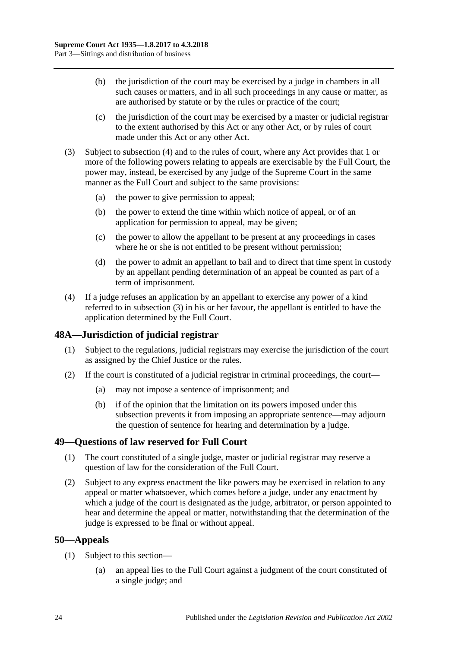- (b) the jurisdiction of the court may be exercised by a judge in chambers in all such causes or matters, and in all such proceedings in any cause or matter, as are authorised by statute or by the rules or practice of the court;
- (c) the jurisdiction of the court may be exercised by a master or judicial registrar to the extent authorised by this Act or any other Act, or by rules of court made under this Act or any other Act.
- <span id="page-23-4"></span>(3) Subject to [subsection](#page-23-3) (4) and to the rules of court, where any Act provides that 1 or more of the following powers relating to appeals are exercisable by the Full Court, the power may, instead, be exercised by any judge of the Supreme Court in the same manner as the Full Court and subject to the same provisions:
	- (a) the power to give permission to appeal;
	- (b) the power to extend the time within which notice of appeal, or of an application for permission to appeal, may be given;
	- (c) the power to allow the appellant to be present at any proceedings in cases where he or she is not entitled to be present without permission;
	- (d) the power to admit an appellant to bail and to direct that time spent in custody by an appellant pending determination of an appeal be counted as part of a term of imprisonment.
- <span id="page-23-3"></span>(4) If a judge refuses an application by an appellant to exercise any power of a kind referred to in [subsection](#page-23-4) (3) in his or her favour, the appellant is entitled to have the application determined by the Full Court.

# <span id="page-23-0"></span>**48A—Jurisdiction of judicial registrar**

- (1) Subject to the regulations, judicial registrars may exercise the jurisdiction of the court as assigned by the Chief Justice or the rules.
- (2) If the court is constituted of a judicial registrar in criminal proceedings, the court—
	- (a) may not impose a sentence of imprisonment; and
	- (b) if of the opinion that the limitation on its powers imposed under this subsection prevents it from imposing an appropriate sentence—may adjourn the question of sentence for hearing and determination by a judge.

# <span id="page-23-1"></span>**49—Questions of law reserved for Full Court**

- (1) The court constituted of a single judge, master or judicial registrar may reserve a question of law for the consideration of the Full Court.
- (2) Subject to any express enactment the like powers may be exercised in relation to any appeal or matter whatsoever, which comes before a judge, under any enactment by which a judge of the court is designated as the judge, arbitrator, or person appointed to hear and determine the appeal or matter, notwithstanding that the determination of the judge is expressed to be final or without appeal.

## <span id="page-23-2"></span>**50—Appeals**

- (1) Subject to this section—
	- (a) an appeal lies to the Full Court against a judgment of the court constituted of a single judge; and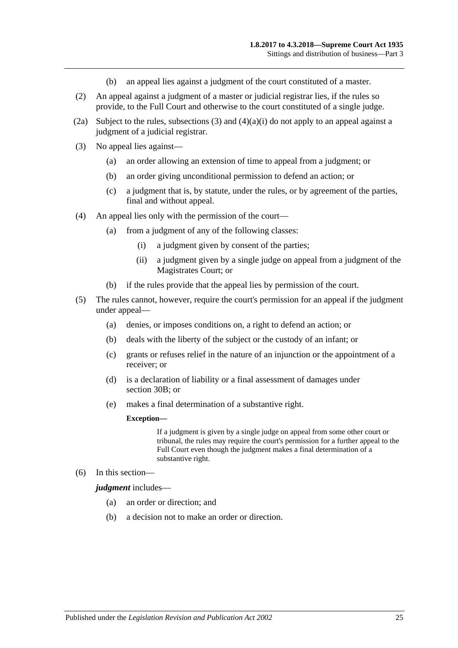- (b) an appeal lies against a judgment of the court constituted of a master.
- (2) An appeal against a judgment of a master or judicial registrar lies, if the rules so provide, to the Full Court and otherwise to the court constituted of a single judge.
- (2a) Subject to the rules, [subsections](#page-24-0) (3) and  $(4)(a)(i)$  do not apply to an appeal against a judgment of a judicial registrar.
- <span id="page-24-0"></span>(3) No appeal lies against—
	- (a) an order allowing an extension of time to appeal from a judgment; or
	- (b) an order giving unconditional permission to defend an action; or
	- (c) a judgment that is, by statute, under the rules, or by agreement of the parties, final and without appeal.
- <span id="page-24-1"></span>(4) An appeal lies only with the permission of the court—
	- (a) from a judgment of any of the following classes:
		- (i) a judgment given by consent of the parties;
		- (ii) a judgment given by a single judge on appeal from a judgment of the Magistrates Court; or
	- (b) if the rules provide that the appeal lies by permission of the court.
- (5) The rules cannot, however, require the court's permission for an appeal if the judgment under appeal—
	- (a) denies, or imposes conditions on, a right to defend an action; or
	- (b) deals with the liberty of the subject or the custody of an infant; or
	- (c) grants or refuses relief in the nature of an injunction or the appointment of a receiver; or
	- (d) is a declaration of liability or a final assessment of damages under [section](#page-15-2) 30B; or
	- (e) makes a final determination of a substantive right.

#### **Exception—**

If a judgment is given by a single judge on appeal from some other court or tribunal, the rules may require the court's permission for a further appeal to the Full Court even though the judgment makes a final determination of a substantive right.

(6) In this section—

*judgment* includes—

- (a) an order or direction; and
- (b) a decision not to make an order or direction.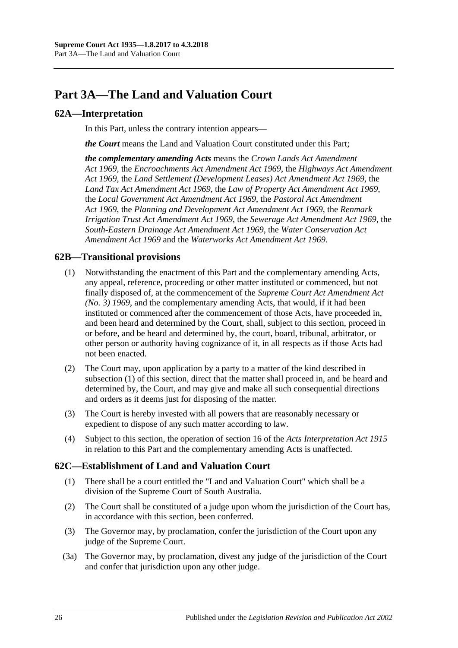# <span id="page-25-0"></span>**Part 3A—The Land and Valuation Court**

## <span id="page-25-1"></span>**62A—Interpretation**

In this Part, unless the contrary intention appears—

*the Court* means the Land and Valuation Court constituted under this Part;

*the complementary amending Acts* means the *[Crown Lands Act Amendment](http://www.legislation.sa.gov.au/index.aspx?action=legref&type=act&legtitle=Crown%20Lands%20Act%20Amendment%20Act%201969)  Act [1969](http://www.legislation.sa.gov.au/index.aspx?action=legref&type=act&legtitle=Crown%20Lands%20Act%20Amendment%20Act%201969)*, the *[Encroachments Act Amendment Act](http://www.legislation.sa.gov.au/index.aspx?action=legref&type=act&legtitle=Encroachments%20Act%20Amendment%20Act%201969) 1969*, the *[Highways Act Amendment](http://www.legislation.sa.gov.au/index.aspx?action=legref&type=act&legtitle=Highways%20Act%20Amendment%20Act%201969)  Act [1969](http://www.legislation.sa.gov.au/index.aspx?action=legref&type=act&legtitle=Highways%20Act%20Amendment%20Act%201969)*, the *[Land Settlement \(Development Leases\) Act Amendment Act](http://www.legislation.sa.gov.au/index.aspx?action=legref&type=act&legtitle=Land%20Settlement%20(Development%20Leases)%20Act%20Amendment%20Act%201969) 1969*, the *[Land Tax Act Amendment Act](http://www.legislation.sa.gov.au/index.aspx?action=legref&type=act&legtitle=Land%20Tax%20Act%20Amendment%20Act%201969) 1969*, the *[Law of Property Act Amendment Act](http://www.legislation.sa.gov.au/index.aspx?action=legref&type=act&legtitle=Law%20of%20Property%20Act%20Amendment%20Act%201969) 1969*, the *[Local Government Act Amendment Act](http://www.legislation.sa.gov.au/index.aspx?action=legref&type=act&legtitle=Local%20Government%20Act%20Amendment%20Act%201969) 1969*, the *[Pastoral Act Amendment](http://www.legislation.sa.gov.au/index.aspx?action=legref&type=act&legtitle=Pastoral%20Act%20Amendment%20Act%201969)  Act [1969](http://www.legislation.sa.gov.au/index.aspx?action=legref&type=act&legtitle=Pastoral%20Act%20Amendment%20Act%201969)*, the *[Planning and Development Act Amendment Act](http://www.legislation.sa.gov.au/index.aspx?action=legref&type=act&legtitle=Planning%20and%20Development%20Act%20Amendment%20Act%201969) 1969*, the *[Renmark](http://www.legislation.sa.gov.au/index.aspx?action=legref&type=act&legtitle=Renmark%20Irrigation%20Trust%20Act%20Amendment%20Act%201969)  [Irrigation Trust Act Amendment Act](http://www.legislation.sa.gov.au/index.aspx?action=legref&type=act&legtitle=Renmark%20Irrigation%20Trust%20Act%20Amendment%20Act%201969) 1969*, the *[Sewerage Act Amendment Act](http://www.legislation.sa.gov.au/index.aspx?action=legref&type=act&legtitle=Sewerage%20Act%20Amendment%20Act%201969) 1969*, the *[South-Eastern Drainage Act Amendment Act](http://www.legislation.sa.gov.au/index.aspx?action=legref&type=act&legtitle=South-Eastern%20Drainage%20Act%20Amendment%20Act%201969) 1969*, the *[Water Conservation Act](http://www.legislation.sa.gov.au/index.aspx?action=legref&type=act&legtitle=Water%20Conservation%20Act%20Amendment%20Act%201969)  [Amendment Act](http://www.legislation.sa.gov.au/index.aspx?action=legref&type=act&legtitle=Water%20Conservation%20Act%20Amendment%20Act%201969) 1969* and the *[Waterworks Act Amendment Act](http://www.legislation.sa.gov.au/index.aspx?action=legref&type=act&legtitle=Waterworks%20Act%20Amendment%20Act%201969) 1969*.

## <span id="page-25-4"></span><span id="page-25-2"></span>**62B—Transitional provisions**

- (1) Notwithstanding the enactment of this Part and the complementary amending Acts, any appeal, reference, proceeding or other matter instituted or commenced, but not finally disposed of, at the commencement of the *[Supreme Court Act Amendment Act](http://www.legislation.sa.gov.au/index.aspx?action=legref&type=act&legtitle=Supreme%20Court%20Act%20Amendment%20Act%20(No.%203)%201969)  [\(No. 3\)](http://www.legislation.sa.gov.au/index.aspx?action=legref&type=act&legtitle=Supreme%20Court%20Act%20Amendment%20Act%20(No.%203)%201969) 1969*, and the complementary amending Acts, that would, if it had been instituted or commenced after the commencement of those Acts, have proceeded in, and been heard and determined by the Court, shall, subject to this section, proceed in or before, and be heard and determined by, the court, board, tribunal, arbitrator, or other person or authority having cognizance of it, in all respects as if those Acts had not been enacted.
- (2) The Court may, upon application by a party to a matter of the kind described in [subsection](#page-25-4) (1) of this section, direct that the matter shall proceed in, and be heard and determined by, the Court, and may give and make all such consequential directions and orders as it deems just for disposing of the matter.
- (3) The Court is hereby invested with all powers that are reasonably necessary or expedient to dispose of any such matter according to law.
- (4) Subject to this section, the operation of section 16 of the *[Acts Interpretation Act](http://www.legislation.sa.gov.au/index.aspx?action=legref&type=act&legtitle=Acts%20Interpretation%20Act%201915) 1915* in relation to this Part and the complementary amending Acts is unaffected.

## <span id="page-25-3"></span>**62C—Establishment of Land and Valuation Court**

- (1) There shall be a court entitled the "Land and Valuation Court" which shall be a division of the Supreme Court of South Australia.
- (2) The Court shall be constituted of a judge upon whom the jurisdiction of the Court has, in accordance with this section, been conferred.
- (3) The Governor may, by proclamation, confer the jurisdiction of the Court upon any judge of the Supreme Court.
- (3a) The Governor may, by proclamation, divest any judge of the jurisdiction of the Court and confer that jurisdiction upon any other judge.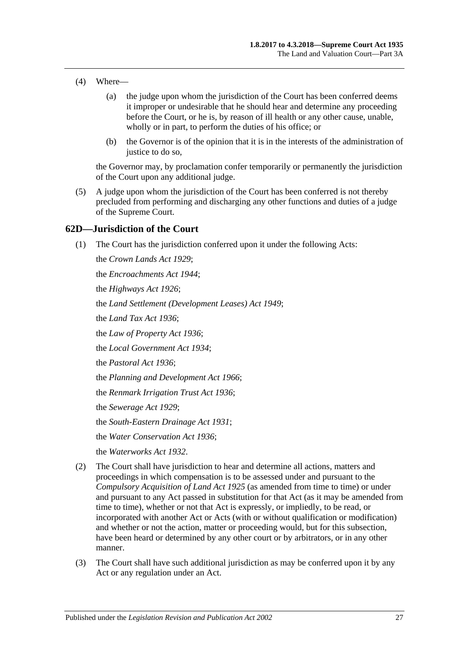- (4) Where—
	- (a) the judge upon whom the jurisdiction of the Court has been conferred deems it improper or undesirable that he should hear and determine any proceeding before the Court, or he is, by reason of ill health or any other cause, unable, wholly or in part, to perform the duties of his office; or
	- (b) the Governor is of the opinion that it is in the interests of the administration of justice to do so,

the Governor may, by proclamation confer temporarily or permanently the jurisdiction of the Court upon any additional judge.

(5) A judge upon whom the jurisdiction of the Court has been conferred is not thereby precluded from performing and discharging any other functions and duties of a judge of the Supreme Court.

### <span id="page-26-0"></span>**62D—Jurisdiction of the Court**

(1) The Court has the jurisdiction conferred upon it under the following Acts:

the *[Crown Lands Act](http://www.legislation.sa.gov.au/index.aspx?action=legref&type=act&legtitle=Crown%20Lands%20Act%201929) 1929*; the *[Encroachments Act](http://www.legislation.sa.gov.au/index.aspx?action=legref&type=act&legtitle=Encroachments%20Act%201944) 1944*; the *[Highways Act](http://www.legislation.sa.gov.au/index.aspx?action=legref&type=act&legtitle=Highways%20Act%201926) 1926*; the *[Land Settlement \(Development Leases\) Act](http://www.legislation.sa.gov.au/index.aspx?action=legref&type=act&legtitle=Land%20Settlement%20(Development%20Leases)%20Act%201949) 1949*; the *[Land Tax Act](http://www.legislation.sa.gov.au/index.aspx?action=legref&type=act&legtitle=Land%20Tax%20Act%201936) 1936*; the *[Law of Property Act](http://www.legislation.sa.gov.au/index.aspx?action=legref&type=act&legtitle=Law%20of%20Property%20Act%201936) 1936*; the *[Local Government Act](http://www.legislation.sa.gov.au/index.aspx?action=legref&type=act&legtitle=Local%20Government%20Act%201934) 1934*; the *[Pastoral Act](http://www.legislation.sa.gov.au/index.aspx?action=legref&type=act&legtitle=Pastoral%20Act%201936) 1936*; the *[Planning and Development Act](http://www.legislation.sa.gov.au/index.aspx?action=legref&type=act&legtitle=Planning%20and%20Development%20Act%201966) 1966*; the *[Renmark Irrigation Trust Act](http://www.legislation.sa.gov.au/index.aspx?action=legref&type=act&legtitle=Renmark%20Irrigation%20Trust%20Act%201936) 1936*; the *[Sewerage Act](http://www.legislation.sa.gov.au/index.aspx?action=legref&type=act&legtitle=Sewerage%20Act%201929) 1929*; the *[South-Eastern Drainage Act](http://www.legislation.sa.gov.au/index.aspx?action=legref&type=act&legtitle=South-Eastern%20Drainage%20Act%201931) 1931*; the *[Water Conservation Act](http://www.legislation.sa.gov.au/index.aspx?action=legref&type=act&legtitle=Water%20Conservation%20Act%201936) 1936*; the *[Waterworks Act](http://www.legislation.sa.gov.au/index.aspx?action=legref&type=act&legtitle=Waterworks%20Act%201932) 1932*.

- (2) The Court shall have jurisdiction to hear and determine all actions, matters and proceedings in which compensation is to be assessed under and pursuant to the *[Compulsory Acquisition of Land Act](http://www.legislation.sa.gov.au/index.aspx?action=legref&type=act&legtitle=Compulsory%20Acquisition%20of%20Land%20Act%201925) 1925* (as amended from time to time) or under and pursuant to any Act passed in substitution for that Act (as it may be amended from time to time), whether or not that Act is expressly, or impliedly, to be read, or incorporated with another Act or Acts (with or without qualification or modification) and whether or not the action, matter or proceeding would, but for this subsection, have been heard or determined by any other court or by arbitrators, or in any other manner.
- (3) The Court shall have such additional jurisdiction as may be conferred upon it by any Act or any regulation under an Act.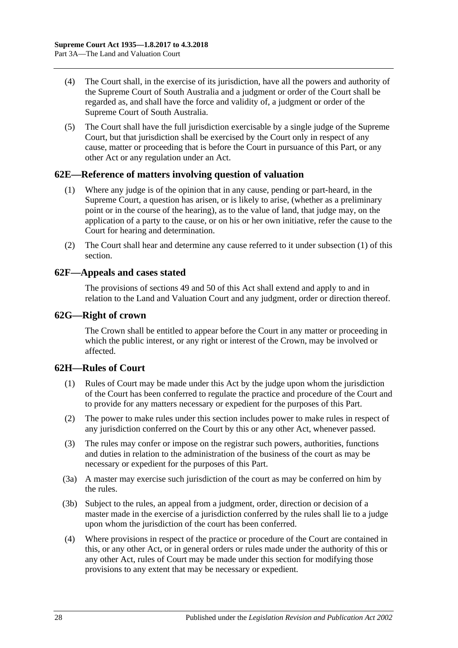- (4) The Court shall, in the exercise of its jurisdiction, have all the powers and authority of the Supreme Court of South Australia and a judgment or order of the Court shall be regarded as, and shall have the force and validity of, a judgment or order of the Supreme Court of South Australia.
- (5) The Court shall have the full jurisdiction exercisable by a single judge of the Supreme Court, but that jurisdiction shall be exercised by the Court only in respect of any cause, matter or proceeding that is before the Court in pursuance of this Part, or any other Act or any regulation under an Act.

## <span id="page-27-4"></span><span id="page-27-0"></span>**62E—Reference of matters involving question of valuation**

- (1) Where any judge is of the opinion that in any cause, pending or part-heard, in the Supreme Court, a question has arisen, or is likely to arise, (whether as a preliminary point or in the course of the hearing), as to the value of land, that judge may, on the application of a party to the cause, or on his or her own initiative, refer the cause to the Court for hearing and determination.
- (2) The Court shall hear and determine any cause referred to it under [subsection](#page-27-4) (1) of this section.

### <span id="page-27-1"></span>**62F—Appeals and cases stated**

The provisions of [sections](#page-23-1) 49 and [50](#page-23-2) of this Act shall extend and apply to and in relation to the Land and Valuation Court and any judgment, order or direction thereof.

### <span id="page-27-2"></span>**62G—Right of crown**

The Crown shall be entitled to appear before the Court in any matter or proceeding in which the public interest, or any right or interest of the Crown, may be involved or affected.

## <span id="page-27-3"></span>**62H—Rules of Court**

- (1) Rules of Court may be made under this Act by the judge upon whom the jurisdiction of the Court has been conferred to regulate the practice and procedure of the Court and to provide for any matters necessary or expedient for the purposes of this Part.
- (2) The power to make rules under this section includes power to make rules in respect of any jurisdiction conferred on the Court by this or any other Act, whenever passed.
- (3) The rules may confer or impose on the registrar such powers, authorities, functions and duties in relation to the administration of the business of the court as may be necessary or expedient for the purposes of this Part.
- (3a) A master may exercise such jurisdiction of the court as may be conferred on him by the rules.
- (3b) Subject to the rules, an appeal from a judgment, order, direction or decision of a master made in the exercise of a jurisdiction conferred by the rules shall lie to a judge upon whom the jurisdiction of the court has been conferred.
- (4) Where provisions in respect of the practice or procedure of the Court are contained in this, or any other Act, or in general orders or rules made under the authority of this or any other Act, rules of Court may be made under this section for modifying those provisions to any extent that may be necessary or expedient.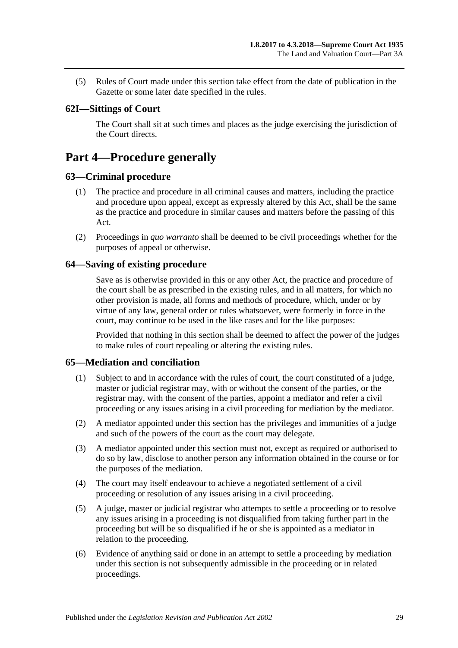(5) Rules of Court made under this section take effect from the date of publication in the Gazette or some later date specified in the rules.

# <span id="page-28-0"></span>**62I—Sittings of Court**

The Court shall sit at such times and places as the judge exercising the jurisdiction of the Court directs.

# <span id="page-28-1"></span>**Part 4—Procedure generally**

### <span id="page-28-2"></span>**63—Criminal procedure**

- (1) The practice and procedure in all criminal causes and matters, including the practice and procedure upon appeal, except as expressly altered by this Act, shall be the same as the practice and procedure in similar causes and matters before the passing of this Act.
- (2) Proceedings in *quo warranto* shall be deemed to be civil proceedings whether for the purposes of appeal or otherwise.

### <span id="page-28-3"></span>**64—Saving of existing procedure**

Save as is otherwise provided in this or any other Act, the practice and procedure of the court shall be as prescribed in the existing rules, and in all matters, for which no other provision is made, all forms and methods of procedure, which, under or by virtue of any law, general order or rules whatsoever, were formerly in force in the court, may continue to be used in the like cases and for the like purposes:

Provided that nothing in this section shall be deemed to affect the power of the judges to make rules of court repealing or altering the existing rules.

## <span id="page-28-4"></span>**65—Mediation and conciliation**

- (1) Subject to and in accordance with the rules of court, the court constituted of a judge, master or judicial registrar may, with or without the consent of the parties, or the registrar may, with the consent of the parties, appoint a mediator and refer a civil proceeding or any issues arising in a civil proceeding for mediation by the mediator.
- (2) A mediator appointed under this section has the privileges and immunities of a judge and such of the powers of the court as the court may delegate.
- (3) A mediator appointed under this section must not, except as required or authorised to do so by law, disclose to another person any information obtained in the course or for the purposes of the mediation.
- (4) The court may itself endeavour to achieve a negotiated settlement of a civil proceeding or resolution of any issues arising in a civil proceeding.
- (5) A judge, master or judicial registrar who attempts to settle a proceeding or to resolve any issues arising in a proceeding is not disqualified from taking further part in the proceeding but will be so disqualified if he or she is appointed as a mediator in relation to the proceeding.
- (6) Evidence of anything said or done in an attempt to settle a proceeding by mediation under this section is not subsequently admissible in the proceeding or in related proceedings.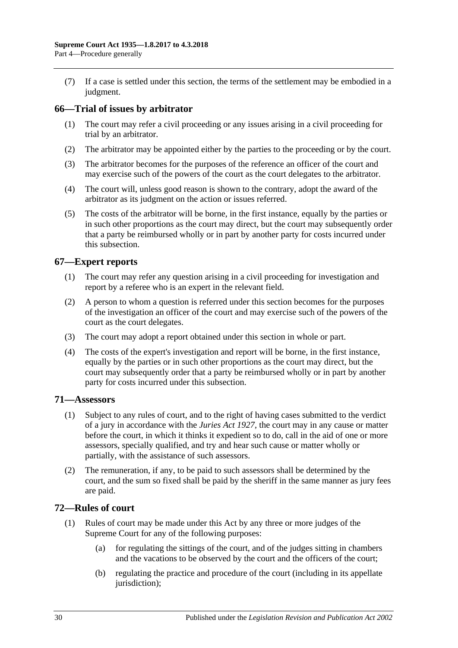(7) If a case is settled under this section, the terms of the settlement may be embodied in a judgment.

## <span id="page-29-0"></span>**66—Trial of issues by arbitrator**

- (1) The court may refer a civil proceeding or any issues arising in a civil proceeding for trial by an arbitrator.
- (2) The arbitrator may be appointed either by the parties to the proceeding or by the court.
- (3) The arbitrator becomes for the purposes of the reference an officer of the court and may exercise such of the powers of the court as the court delegates to the arbitrator.
- (4) The court will, unless good reason is shown to the contrary, adopt the award of the arbitrator as its judgment on the action or issues referred.
- (5) The costs of the arbitrator will be borne, in the first instance, equally by the parties or in such other proportions as the court may direct, but the court may subsequently order that a party be reimbursed wholly or in part by another party for costs incurred under this subsection.

# <span id="page-29-1"></span>**67—Expert reports**

- (1) The court may refer any question arising in a civil proceeding for investigation and report by a referee who is an expert in the relevant field.
- (2) A person to whom a question is referred under this section becomes for the purposes of the investigation an officer of the court and may exercise such of the powers of the court as the court delegates.
- (3) The court may adopt a report obtained under this section in whole or part.
- (4) The costs of the expert's investigation and report will be borne, in the first instance, equally by the parties or in such other proportions as the court may direct, but the court may subsequently order that a party be reimbursed wholly or in part by another party for costs incurred under this subsection.

### <span id="page-29-2"></span>**71—Assessors**

- (1) Subject to any rules of court, and to the right of having cases submitted to the verdict of a jury in accordance with the *[Juries Act](http://www.legislation.sa.gov.au/index.aspx?action=legref&type=act&legtitle=Juries%20Act%201927) 1927*, the court may in any cause or matter before the court, in which it thinks it expedient so to do, call in the aid of one or more assessors, specially qualified, and try and hear such cause or matter wholly or partially, with the assistance of such assessors.
- (2) The remuneration, if any, to be paid to such assessors shall be determined by the court, and the sum so fixed shall be paid by the sheriff in the same manner as jury fees are paid.

## <span id="page-29-3"></span>**72—Rules of court**

- (1) Rules of court may be made under this Act by any three or more judges of the Supreme Court for any of the following purposes:
	- (a) for regulating the sittings of the court, and of the judges sitting in chambers and the vacations to be observed by the court and the officers of the court;
	- (b) regulating the practice and procedure of the court (including in its appellate jurisdiction);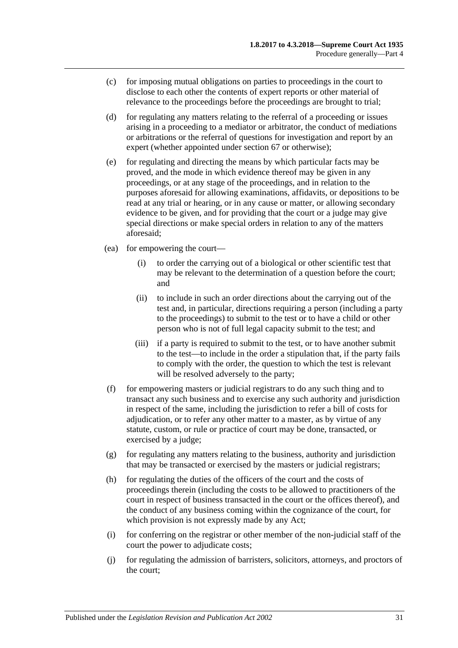- (c) for imposing mutual obligations on parties to proceedings in the court to disclose to each other the contents of expert reports or other material of relevance to the proceedings before the proceedings are brought to trial;
- (d) for regulating any matters relating to the referral of a proceeding or issues arising in a proceeding to a mediator or arbitrator, the conduct of mediations or arbitrations or the referral of questions for investigation and report by an expert (whether appointed under [section](#page-29-1) 67 or otherwise);
- (e) for regulating and directing the means by which particular facts may be proved, and the mode in which evidence thereof may be given in any proceedings, or at any stage of the proceedings, and in relation to the purposes aforesaid for allowing examinations, affidavits, or depositions to be read at any trial or hearing, or in any cause or matter, or allowing secondary evidence to be given, and for providing that the court or a judge may give special directions or make special orders in relation to any of the matters aforesaid;
- (ea) for empowering the court—
	- (i) to order the carrying out of a biological or other scientific test that may be relevant to the determination of a question before the court; and
	- (ii) to include in such an order directions about the carrying out of the test and, in particular, directions requiring a person (including a party to the proceedings) to submit to the test or to have a child or other person who is not of full legal capacity submit to the test; and
	- (iii) if a party is required to submit to the test, or to have another submit to the test—to include in the order a stipulation that, if the party fails to comply with the order, the question to which the test is relevant will be resolved adversely to the party;
- (f) for empowering masters or judicial registrars to do any such thing and to transact any such business and to exercise any such authority and jurisdiction in respect of the same, including the jurisdiction to refer a bill of costs for adjudication, or to refer any other matter to a master, as by virtue of any statute, custom, or rule or practice of court may be done, transacted, or exercised by a judge;
- $(g)$  for regulating any matters relating to the business, authority and jurisdiction that may be transacted or exercised by the masters or judicial registrars;
- (h) for regulating the duties of the officers of the court and the costs of proceedings therein (including the costs to be allowed to practitioners of the court in respect of business transacted in the court or the offices thereof), and the conduct of any business coming within the cognizance of the court, for which provision is not expressly made by any Act;
- (i) for conferring on the registrar or other member of the non-judicial staff of the court the power to adjudicate costs;
- (j) for regulating the admission of barristers, solicitors, attorneys, and proctors of the court;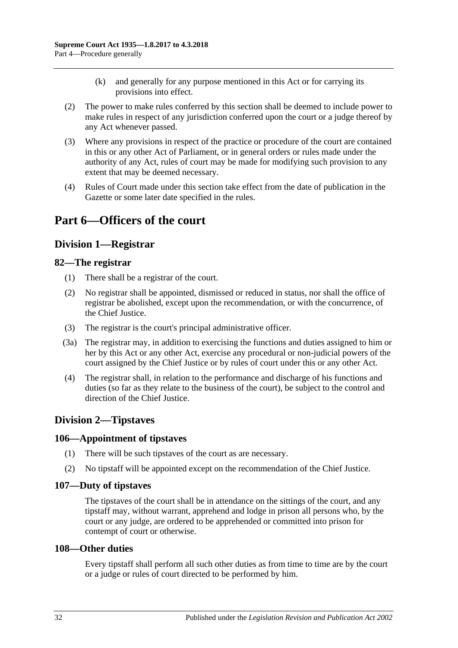- (k) and generally for any purpose mentioned in this Act or for carrying its provisions into effect.
- (2) The power to make rules conferred by this section shall be deemed to include power to make rules in respect of any jurisdiction conferred upon the court or a judge thereof by any Act whenever passed.
- (3) Where any provisions in respect of the practice or procedure of the court are contained in this or any other Act of Parliament, or in general orders or rules made under the authority of any Act, rules of court may be made for modifying such provision to any extent that may be deemed necessary.
- (4) Rules of Court made under this section take effect from the date of publication in the Gazette or some later date specified in the rules.

# <span id="page-31-1"></span><span id="page-31-0"></span>**Part 6—Officers of the court**

# **Division 1—Registrar**

## <span id="page-31-2"></span>**82—The registrar**

- (1) There shall be a registrar of the court.
- (2) No registrar shall be appointed, dismissed or reduced in status, nor shall the office of registrar be abolished, except upon the recommendation, or with the concurrence, of the Chief Justice.
- (3) The registrar is the court's principal administrative officer.
- (3a) The registrar may, in addition to exercising the functions and duties assigned to him or her by this Act or any other Act, exercise any procedural or non-judicial powers of the court assigned by the Chief Justice or by rules of court under this or any other Act.
- (4) The registrar shall, in relation to the performance and discharge of his functions and duties (so far as they relate to the business of the court), be subject to the control and direction of the Chief Justice.

# <span id="page-31-3"></span>**Division 2—Tipstaves**

## <span id="page-31-4"></span>**106—Appointment of tipstaves**

- (1) There will be such tipstaves of the court as are necessary.
- (2) No tipstaff will be appointed except on the recommendation of the Chief Justice.

## <span id="page-31-5"></span>**107—Duty of tipstaves**

The tipstaves of the court shall be in attendance on the sittings of the court, and any tipstaff may, without warrant, apprehend and lodge in prison all persons who, by the court or any judge, are ordered to be apprehended or committed into prison for contempt of court or otherwise.

## <span id="page-31-6"></span>**108—Other duties**

Every tipstaff shall perform all such other duties as from time to time are by the court or a judge or rules of court directed to be performed by him.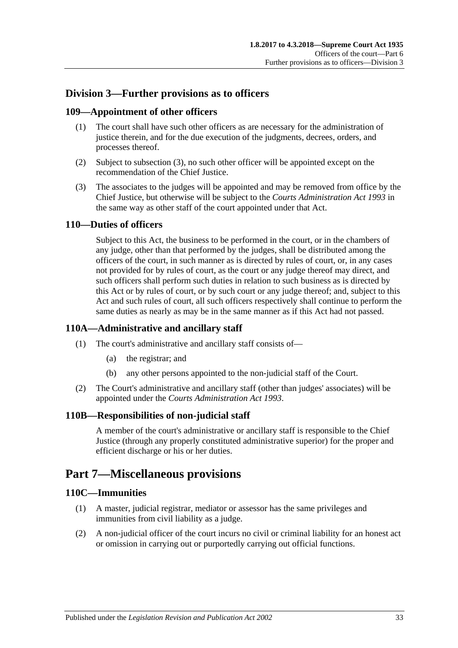# <span id="page-32-0"></span>**Division 3—Further provisions as to officers**

# <span id="page-32-1"></span>**109—Appointment of other officers**

- (1) The court shall have such other officers as are necessary for the administration of justice therein, and for the due execution of the judgments, decrees, orders, and processes thereof.
- (2) Subject to [subsection](#page-32-7) (3), no such other officer will be appointed except on the recommendation of the Chief Justice.
- <span id="page-32-7"></span>(3) The associates to the judges will be appointed and may be removed from office by the Chief Justice, but otherwise will be subject to the *[Courts Administration Act](http://www.legislation.sa.gov.au/index.aspx?action=legref&type=act&legtitle=Courts%20Administration%20Act%201993) 1993* in the same way as other staff of the court appointed under that Act.

## <span id="page-32-2"></span>**110—Duties of officers**

Subject to this Act, the business to be performed in the court, or in the chambers of any judge, other than that performed by the judges, shall be distributed among the officers of the court, in such manner as is directed by rules of court, or, in any cases not provided for by rules of court, as the court or any judge thereof may direct, and such officers shall perform such duties in relation to such business as is directed by this Act or by rules of court, or by such court or any judge thereof; and, subject to this Act and such rules of court, all such officers respectively shall continue to perform the same duties as nearly as may be in the same manner as if this Act had not passed.

## <span id="page-32-3"></span>**110A—Administrative and ancillary staff**

- (1) The court's administrative and ancillary staff consists of—
	- (a) the registrar; and
	- (b) any other persons appointed to the non-judicial staff of the Court.
- (2) The Court's administrative and ancillary staff (other than judges' associates) will be appointed under the *[Courts Administration Act](http://www.legislation.sa.gov.au/index.aspx?action=legref&type=act&legtitle=Courts%20Administration%20Act%201993) 1993*.

## <span id="page-32-4"></span>**110B—Responsibilities of non-judicial staff**

A member of the court's administrative or ancillary staff is responsible to the Chief Justice (through any properly constituted administrative superior) for the proper and efficient discharge or his or her duties.

# <span id="page-32-5"></span>**Part 7—Miscellaneous provisions**

### <span id="page-32-6"></span>**110C—Immunities**

- (1) A master, judicial registrar, mediator or assessor has the same privileges and immunities from civil liability as a judge.
- (2) A non-judicial officer of the court incurs no civil or criminal liability for an honest act or omission in carrying out or purportedly carrying out official functions.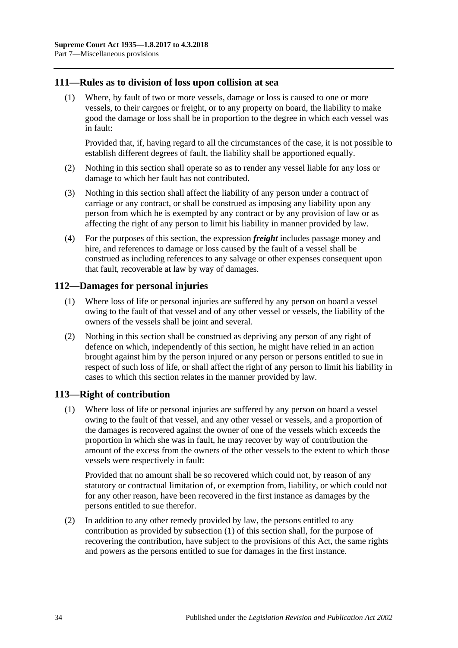### <span id="page-33-0"></span>**111—Rules as to division of loss upon collision at sea**

(1) Where, by fault of two or more vessels, damage or loss is caused to one or more vessels, to their cargoes or freight, or to any property on board, the liability to make good the damage or loss shall be in proportion to the degree in which each vessel was in fault:

Provided that, if, having regard to all the circumstances of the case, it is not possible to establish different degrees of fault, the liability shall be apportioned equally.

- (2) Nothing in this section shall operate so as to render any vessel liable for any loss or damage to which her fault has not contributed.
- (3) Nothing in this section shall affect the liability of any person under a contract of carriage or any contract, or shall be construed as imposing any liability upon any person from which he is exempted by any contract or by any provision of law or as affecting the right of any person to limit his liability in manner provided by law.
- (4) For the purposes of this section, the expression *freight* includes passage money and hire, and references to damage or loss caused by the fault of a vessel shall be construed as including references to any salvage or other expenses consequent upon that fault, recoverable at law by way of damages.

### <span id="page-33-1"></span>**112—Damages for personal injuries**

- (1) Where loss of life or personal injuries are suffered by any person on board a vessel owing to the fault of that vessel and of any other vessel or vessels, the liability of the owners of the vessels shall be joint and several.
- (2) Nothing in this section shall be construed as depriving any person of any right of defence on which, independently of this section, he might have relied in an action brought against him by the person injured or any person or persons entitled to sue in respect of such loss of life, or shall affect the right of any person to limit his liability in cases to which this section relates in the manner provided by law.

## <span id="page-33-3"></span><span id="page-33-2"></span>**113—Right of contribution**

(1) Where loss of life or personal injuries are suffered by any person on board a vessel owing to the fault of that vessel, and any other vessel or vessels, and a proportion of the damages is recovered against the owner of one of the vessels which exceeds the proportion in which she was in fault, he may recover by way of contribution the amount of the excess from the owners of the other vessels to the extent to which those vessels were respectively in fault:

Provided that no amount shall be so recovered which could not, by reason of any statutory or contractual limitation of, or exemption from, liability, or which could not for any other reason, have been recovered in the first instance as damages by the persons entitled to sue therefor.

(2) In addition to any other remedy provided by law, the persons entitled to any contribution as provided by [subsection](#page-33-3) (1) of this section shall, for the purpose of recovering the contribution, have subject to the provisions of this Act, the same rights and powers as the persons entitled to sue for damages in the first instance.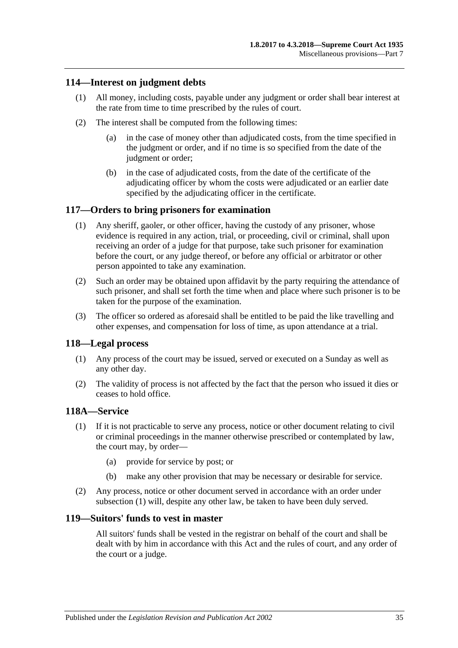# <span id="page-34-0"></span>**114—Interest on judgment debts**

- (1) All money, including costs, payable under any judgment or order shall bear interest at the rate from time to time prescribed by the rules of court.
- (2) The interest shall be computed from the following times:
	- (a) in the case of money other than adjudicated costs, from the time specified in the judgment or order, and if no time is so specified from the date of the judgment or order;
	- (b) in the case of adjudicated costs, from the date of the certificate of the adjudicating officer by whom the costs were adjudicated or an earlier date specified by the adjudicating officer in the certificate.

### <span id="page-34-1"></span>**117—Orders to bring prisoners for examination**

- (1) Any sheriff, gaoler, or other officer, having the custody of any prisoner, whose evidence is required in any action, trial, or proceeding, civil or criminal, shall upon receiving an order of a judge for that purpose, take such prisoner for examination before the court, or any judge thereof, or before any official or arbitrator or other person appointed to take any examination.
- (2) Such an order may be obtained upon affidavit by the party requiring the attendance of such prisoner, and shall set forth the time when and place where such prisoner is to be taken for the purpose of the examination.
- (3) The officer so ordered as aforesaid shall be entitled to be paid the like travelling and other expenses, and compensation for loss of time, as upon attendance at a trial.

### <span id="page-34-2"></span>**118—Legal process**

- (1) Any process of the court may be issued, served or executed on a Sunday as well as any other day.
- (2) The validity of process is not affected by the fact that the person who issued it dies or ceases to hold office.

### <span id="page-34-5"></span><span id="page-34-3"></span>**118A—Service**

- (1) If it is not practicable to serve any process, notice or other document relating to civil or criminal proceedings in the manner otherwise prescribed or contemplated by law, the court may, by order—
	- (a) provide for service by post; or
	- (b) make any other provision that may be necessary or desirable for service.
- (2) Any process, notice or other document served in accordance with an order under [subsection](#page-34-5) (1) will, despite any other law, be taken to have been duly served.

## <span id="page-34-4"></span>**119—Suitors' funds to vest in master**

All suitors' funds shall be vested in the registrar on behalf of the court and shall be dealt with by him in accordance with this Act and the rules of court, and any order of the court or a judge.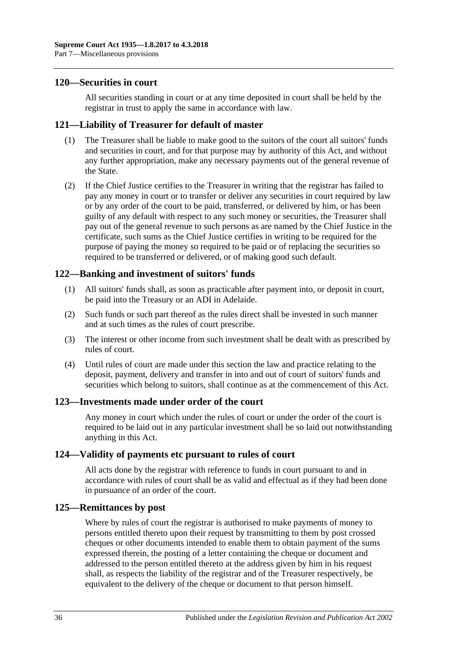### <span id="page-35-0"></span>**120—Securities in court**

All securities standing in court or at any time deposited in court shall be held by the registrar in trust to apply the same in accordance with law.

### <span id="page-35-1"></span>**121—Liability of Treasurer for default of master**

- (1) The Treasurer shall be liable to make good to the suitors of the court all suitors' funds and securities in court, and for that purpose may by authority of this Act, and without any further appropriation, make any necessary payments out of the general revenue of the State.
- (2) If the Chief Justice certifies to the Treasurer in writing that the registrar has failed to pay any money in court or to transfer or deliver any securities in court required by law or by any order of the court to be paid, transferred, or delivered by him, or has been guilty of any default with respect to any such money or securities, the Treasurer shall pay out of the general revenue to such persons as are named by the Chief Justice in the certificate, such sums as the Chief Justice certifies in writing to be required for the purpose of paying the money so required to be paid or of replacing the securities so required to be transferred or delivered, or of making good such default.

## <span id="page-35-2"></span>**122—Banking and investment of suitors' funds**

- (1) All suitors' funds shall, as soon as practicable after payment into, or deposit in court, be paid into the Treasury or an ADI in Adelaide.
- (2) Such funds or such part thereof as the rules direct shall be invested in such manner and at such times as the rules of court prescribe.
- (3) The interest or other income from such investment shall be dealt with as prescribed by rules of court.
- (4) Until rules of court are made under this section the law and practice relating to the deposit, payment, delivery and transfer in into and out of court of suitors' funds and securities which belong to suitors, shall continue as at the commencement of this Act.

### <span id="page-35-3"></span>**123—Investments made under order of the court**

Any money in court which under the rules of court or under the order of the court is required to be laid out in any particular investment shall be so laid out notwithstanding anything in this Act.

### <span id="page-35-4"></span>**124—Validity of payments etc pursuant to rules of court**

All acts done by the registrar with reference to funds in court pursuant to and in accordance with rules of court shall be as valid and effectual as if they had been done in pursuance of an order of the court.

### <span id="page-35-5"></span>**125—Remittances by post**

Where by rules of court the registrar is authorised to make payments of money to persons entitled thereto upon their request by transmitting to them by post crossed cheques or other documents intended to enable them to obtain payment of the sums expressed therein, the posting of a letter containing the cheque or document and addressed to the person entitled thereto at the address given by him in his request shall, as respects the liability of the registrar and of the Treasurer respectively, be equivalent to the delivery of the cheque or document to that person himself.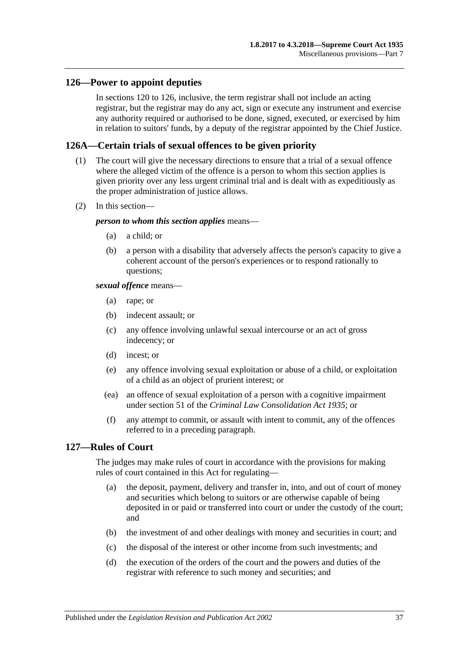### <span id="page-36-0"></span>**126—Power to appoint deputies**

In [sections](#page-35-0) 120 to 126, inclusive, the term registrar shall not include an acting registrar, but the registrar may do any act, sign or execute any instrument and exercise any authority required or authorised to be done, signed, executed, or exercised by him in relation to suitors' funds, by a deputy of the registrar appointed by the Chief Justice.

### <span id="page-36-1"></span>**126A—Certain trials of sexual offences to be given priority**

- (1) The court will give the necessary directions to ensure that a trial of a sexual offence where the alleged victim of the offence is a person to whom this section applies is given priority over any less urgent criminal trial and is dealt with as expeditiously as the proper administration of justice allows.
- (2) In this section—

#### *person to whom this section applies* means—

- (a) a child; or
- (b) a person with a disability that adversely affects the person's capacity to give a coherent account of the person's experiences or to respond rationally to questions;

#### *sexual offence* means—

- (a) rape; or
- (b) indecent assault; or
- (c) any offence involving unlawful sexual intercourse or an act of gross indecency; or
- (d) incest; or
- (e) any offence involving sexual exploitation or abuse of a child, or exploitation of a child as an object of prurient interest; or
- (ea) an offence of sexual exploitation of a person with a cognitive impairment under section 51 of the *[Criminal Law Consolidation Act](http://www.legislation.sa.gov.au/index.aspx?action=legref&type=act&legtitle=Criminal%20Law%20Consolidation%20Act%201935) 1935*; or
- (f) any attempt to commit, or assault with intent to commit, any of the offences referred to in a preceding paragraph.

## <span id="page-36-2"></span>**127—Rules of Court**

The judges may make rules of court in accordance with the provisions for making rules of court contained in this Act for regulating—

- (a) the deposit, payment, delivery and transfer in, into, and out of court of money and securities which belong to suitors or are otherwise capable of being deposited in or paid or transferred into court or under the custody of the court; and
- (b) the investment of and other dealings with money and securities in court; and
- (c) the disposal of the interest or other income from such investments; and
- (d) the execution of the orders of the court and the powers and duties of the registrar with reference to such money and securities; and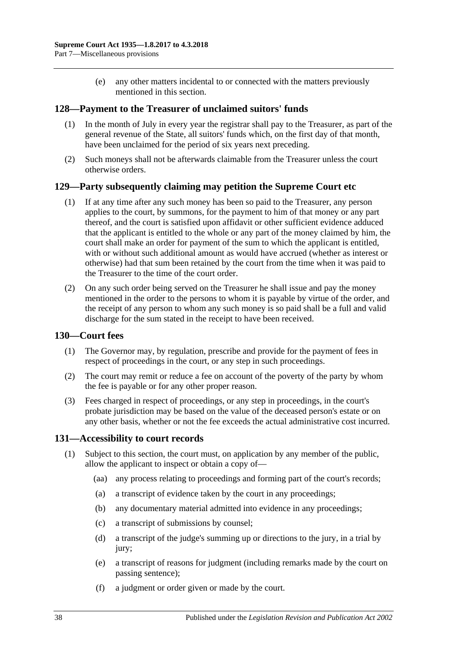(e) any other matters incidental to or connected with the matters previously mentioned in this section.

## <span id="page-37-0"></span>**128—Payment to the Treasurer of unclaimed suitors' funds**

- (1) In the month of July in every year the registrar shall pay to the Treasurer, as part of the general revenue of the State, all suitors' funds which, on the first day of that month, have been unclaimed for the period of six years next preceding.
- (2) Such moneys shall not be afterwards claimable from the Treasurer unless the court otherwise orders.

### <span id="page-37-1"></span>**129—Party subsequently claiming may petition the Supreme Court etc**

- (1) If at any time after any such money has been so paid to the Treasurer, any person applies to the court, by summons, for the payment to him of that money or any part thereof, and the court is satisfied upon affidavit or other sufficient evidence adduced that the applicant is entitled to the whole or any part of the money claimed by him, the court shall make an order for payment of the sum to which the applicant is entitled, with or without such additional amount as would have accrued (whether as interest or otherwise) had that sum been retained by the court from the time when it was paid to the Treasurer to the time of the court order.
- (2) On any such order being served on the Treasurer he shall issue and pay the money mentioned in the order to the persons to whom it is payable by virtue of the order, and the receipt of any person to whom any such money is so paid shall be a full and valid discharge for the sum stated in the receipt to have been received.

### <span id="page-37-2"></span>**130—Court fees**

- (1) The Governor may, by regulation, prescribe and provide for the payment of fees in respect of proceedings in the court, or any step in such proceedings.
- (2) The court may remit or reduce a fee on account of the poverty of the party by whom the fee is payable or for any other proper reason.
- (3) Fees charged in respect of proceedings, or any step in proceedings, in the court's probate jurisdiction may be based on the value of the deceased person's estate or on any other basis, whether or not the fee exceeds the actual administrative cost incurred.

### <span id="page-37-3"></span>**131—Accessibility to court records**

- (1) Subject to this section, the court must, on application by any member of the public, allow the applicant to inspect or obtain a copy of—
	- (aa) any process relating to proceedings and forming part of the court's records;
	- (a) a transcript of evidence taken by the court in any proceedings;
	- (b) any documentary material admitted into evidence in any proceedings;
	- (c) a transcript of submissions by counsel;
	- (d) a transcript of the judge's summing up or directions to the jury, in a trial by jury;
	- (e) a transcript of reasons for judgment (including remarks made by the court on passing sentence);
	- (f) a judgment or order given or made by the court.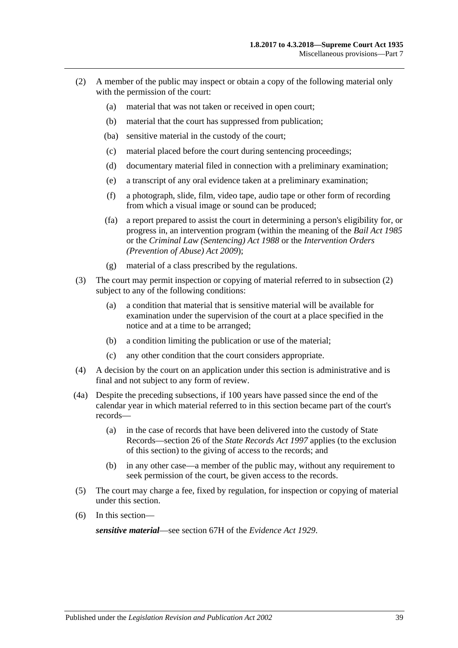- <span id="page-38-0"></span>(2) A member of the public may inspect or obtain a copy of the following material only with the permission of the court:
	- (a) material that was not taken or received in open court;
	- (b) material that the court has suppressed from publication;
	- (ba) sensitive material in the custody of the court;
	- (c) material placed before the court during sentencing proceedings;
	- (d) documentary material filed in connection with a preliminary examination;
	- (e) a transcript of any oral evidence taken at a preliminary examination;
	- (f) a photograph, slide, film, video tape, audio tape or other form of recording from which a visual image or sound can be produced;
	- (fa) a report prepared to assist the court in determining a person's eligibility for, or progress in, an intervention program (within the meaning of the *[Bail Act](http://www.legislation.sa.gov.au/index.aspx?action=legref&type=act&legtitle=Bail%20Act%201985) 1985* or the *[Criminal Law \(Sentencing\) Act](http://www.legislation.sa.gov.au/index.aspx?action=legref&type=act&legtitle=Criminal%20Law%20(Sentencing)%20Act%201988) 1988* or the *Intervention Orders (Prevention of Abuse) Act 2009*);
	- (g) material of a class prescribed by the regulations.
- (3) The court may permit inspection or copying of material referred to in [subsection](#page-38-0) (2) subject to any of the following conditions:
	- (a) a condition that material that is sensitive material will be available for examination under the supervision of the court at a place specified in the notice and at a time to be arranged;
	- (b) a condition limiting the publication or use of the material;
	- (c) any other condition that the court considers appropriate.
- (4) A decision by the court on an application under this section is administrative and is final and not subject to any form of review.
- (4a) Despite the preceding subsections, if 100 years have passed since the end of the calendar year in which material referred to in this section became part of the court's records—
	- (a) in the case of records that have been delivered into the custody of State Records—section 26 of the *[State Records Act](http://www.legislation.sa.gov.au/index.aspx?action=legref&type=act&legtitle=State%20Records%20Act%201997) 1997* applies (to the exclusion of this section) to the giving of access to the records; and
	- (b) in any other case—a member of the public may, without any requirement to seek permission of the court, be given access to the records.
- (5) The court may charge a fee, fixed by regulation, for inspection or copying of material under this section.
- (6) In this section—

*sensitive material*—see section 67H of the *[Evidence Act](http://www.legislation.sa.gov.au/index.aspx?action=legref&type=act&legtitle=Evidence%20Act%201929) 1929*.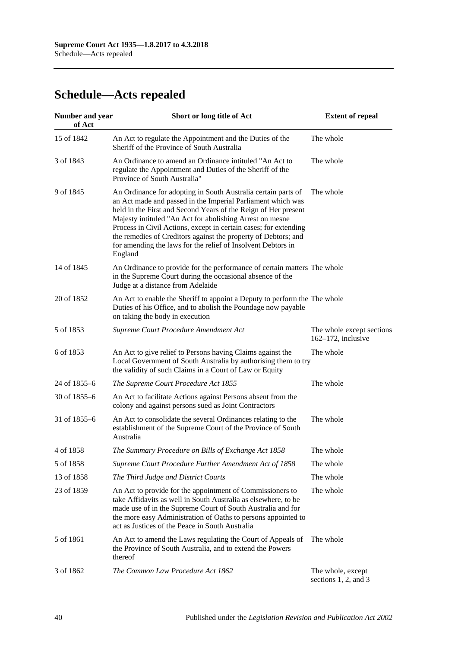# <span id="page-39-0"></span>**Schedule—Acts repealed**

| <b>Number and year</b><br>of Act | Short or long title of Act                                                                                                                                                                                                                                                                                                                                                                                                                                                  | <b>Extent of repeal</b>                            |
|----------------------------------|-----------------------------------------------------------------------------------------------------------------------------------------------------------------------------------------------------------------------------------------------------------------------------------------------------------------------------------------------------------------------------------------------------------------------------------------------------------------------------|----------------------------------------------------|
| 15 of 1842                       | An Act to regulate the Appointment and the Duties of the<br>Sheriff of the Province of South Australia                                                                                                                                                                                                                                                                                                                                                                      | The whole                                          |
| 3 of 1843                        | An Ordinance to amend an Ordinance intituled "An Act to<br>regulate the Appointment and Duties of the Sheriff of the<br>Province of South Australia"                                                                                                                                                                                                                                                                                                                        | The whole                                          |
| 9 of 1845                        | An Ordinance for adopting in South Australia certain parts of<br>an Act made and passed in the Imperial Parliament which was<br>held in the First and Second Years of the Reign of Her present<br>Majesty intituled "An Act for abolishing Arrest on mesne<br>Process in Civil Actions, except in certain cases; for extending<br>the remedies of Creditors against the property of Debtors; and<br>for amending the laws for the relief of Insolvent Debtors in<br>England | The whole                                          |
| 14 of 1845                       | An Ordinance to provide for the performance of certain matters The whole<br>in the Supreme Court during the occasional absence of the<br>Judge at a distance from Adelaide                                                                                                                                                                                                                                                                                                  |                                                    |
| 20 of 1852                       | An Act to enable the Sheriff to appoint a Deputy to perform the The whole<br>Duties of his Office, and to abolish the Poundage now payable<br>on taking the body in execution                                                                                                                                                                                                                                                                                               |                                                    |
| 5 of 1853                        | Supreme Court Procedure Amendment Act                                                                                                                                                                                                                                                                                                                                                                                                                                       | The whole except sections<br>$162-172$ , inclusive |
| 6 of 1853                        | An Act to give relief to Persons having Claims against the<br>Local Government of South Australia by authorising them to try<br>the validity of such Claims in a Court of Law or Equity                                                                                                                                                                                                                                                                                     | The whole                                          |
| 24 of 1855-6                     | The Supreme Court Procedure Act 1855                                                                                                                                                                                                                                                                                                                                                                                                                                        | The whole                                          |
| 30 of 1855-6                     | An Act to facilitate Actions against Persons absent from the<br>colony and against persons sued as Joint Contractors                                                                                                                                                                                                                                                                                                                                                        |                                                    |
| 31 of 1855-6                     | An Act to consolidate the several Ordinances relating to the<br>establishment of the Supreme Court of the Province of South<br>Australia                                                                                                                                                                                                                                                                                                                                    | The whole                                          |
| 4 of 1858                        | The Summary Procedure on Bills of Exchange Act 1858                                                                                                                                                                                                                                                                                                                                                                                                                         | The whole                                          |
| 5 of 1858                        | Supreme Court Procedure Further Amendment Act of 1858                                                                                                                                                                                                                                                                                                                                                                                                                       | The whole                                          |
| 13 of 1858                       | The Third Judge and District Courts                                                                                                                                                                                                                                                                                                                                                                                                                                         | The whole                                          |
| 23 of 1859                       | An Act to provide for the appointment of Commissioners to<br>take Affidavits as well in South Australia as elsewhere, to be<br>made use of in the Supreme Court of South Australia and for<br>the more easy Administration of Oaths to persons appointed to<br>act as Justices of the Peace in South Australia                                                                                                                                                              | The whole                                          |
| 5 of 1861                        | An Act to amend the Laws regulating the Court of Appeals of<br>the Province of South Australia, and to extend the Powers<br>thereof                                                                                                                                                                                                                                                                                                                                         | The whole                                          |
| 3 of 1862                        | The Common Law Procedure Act 1862                                                                                                                                                                                                                                                                                                                                                                                                                                           | The whole, except<br>sections 1, 2, and 3          |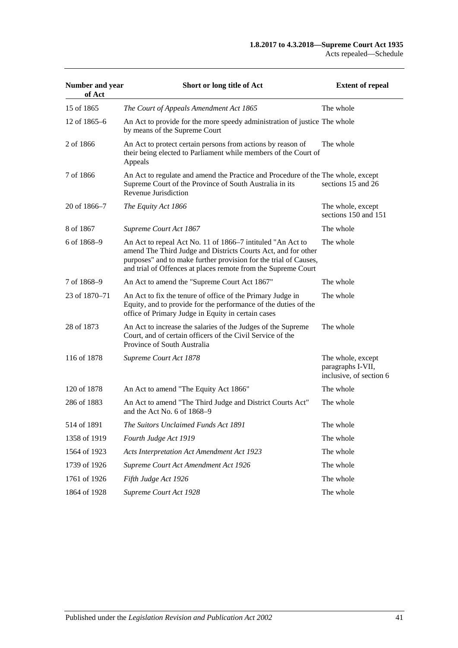| Number and year<br>of Act | Short or long title of Act                                                                                                                                                                                                                                       | <b>Extent of repeal</b>                                           |
|---------------------------|------------------------------------------------------------------------------------------------------------------------------------------------------------------------------------------------------------------------------------------------------------------|-------------------------------------------------------------------|
| 15 of 1865                | The Court of Appeals Amendment Act 1865                                                                                                                                                                                                                          | The whole                                                         |
| 12 of 1865–6              | An Act to provide for the more speedy administration of justice The whole<br>by means of the Supreme Court                                                                                                                                                       |                                                                   |
| 2 of 1866                 | An Act to protect certain persons from actions by reason of<br>their being elected to Parliament while members of the Court of<br>Appeals                                                                                                                        | The whole                                                         |
| 7 of 1866                 | An Act to regulate and amend the Practice and Procedure of the The whole, except<br>Supreme Court of the Province of South Australia in its<br>Revenue Jurisdiction                                                                                              | sections 15 and 26                                                |
| 20 of 1866-7              | The Equity Act 1866                                                                                                                                                                                                                                              | The whole, except<br>sections 150 and 151                         |
| 8 of 1867                 | Supreme Court Act 1867                                                                                                                                                                                                                                           | The whole                                                         |
| 6 of 1868-9               | An Act to repeal Act No. 11 of 1866–7 intituled "An Act to<br>amend The Third Judge and Districts Courts Act, and for other<br>purposes" and to make further provision for the trial of Causes,<br>and trial of Offences at places remote from the Supreme Court | The whole                                                         |
| 7 of 1868-9               | An Act to amend the "Supreme Court Act 1867"                                                                                                                                                                                                                     | The whole                                                         |
| 23 of 1870–71             | An Act to fix the tenure of office of the Primary Judge in<br>Equity, and to provide for the performance of the duties of the<br>office of Primary Judge in Equity in certain cases                                                                              | The whole                                                         |
| 28 of 1873                | An Act to increase the salaries of the Judges of the Supreme<br>Court, and of certain officers of the Civil Service of the<br>Province of South Australia                                                                                                        | The whole                                                         |
| 116 of 1878               | Supreme Court Act 1878                                                                                                                                                                                                                                           | The whole, except<br>paragraphs I-VII,<br>inclusive, of section 6 |
| 120 of 1878               | An Act to amend "The Equity Act 1866"                                                                                                                                                                                                                            | The whole                                                         |
| 286 of 1883               | An Act to amend "The Third Judge and District Courts Act"<br>and the Act No. 6 of 1868-9                                                                                                                                                                         | The whole                                                         |
| 514 of 1891               | The Suitors Unclaimed Funds Act 1891                                                                                                                                                                                                                             | The whole                                                         |
| 1358 of 1919              | Fourth Judge Act 1919                                                                                                                                                                                                                                            | The whole                                                         |
| 1564 of 1923              | Acts Interpretation Act Amendment Act 1923                                                                                                                                                                                                                       | The whole                                                         |
| 1739 of 1926              | Supreme Court Act Amendment Act 1926                                                                                                                                                                                                                             | The whole                                                         |
| 1761 of 1926              | Fifth Judge Act 1926                                                                                                                                                                                                                                             | The whole                                                         |
| 1864 of 1928              | Supreme Court Act 1928                                                                                                                                                                                                                                           | The whole                                                         |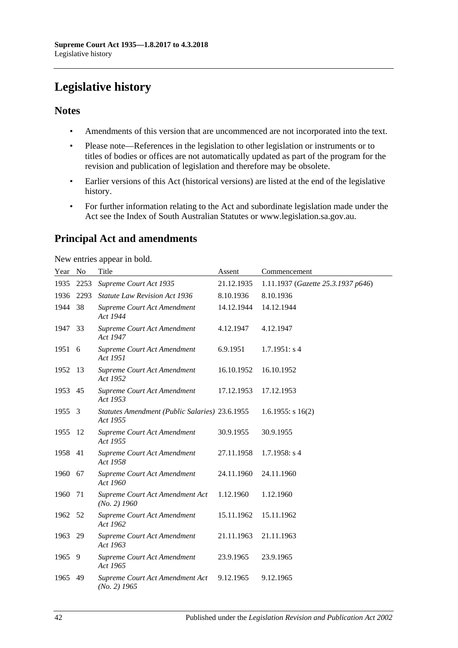# <span id="page-41-0"></span>**Legislative history**

# **Notes**

- Amendments of this version that are uncommenced are not incorporated into the text.
- Please note—References in the legislation to other legislation or instruments or to titles of bodies or offices are not automatically updated as part of the program for the revision and publication of legislation and therefore may be obsolete.
- Earlier versions of this Act (historical versions) are listed at the end of the legislative history.
- For further information relating to the Act and subordinate legislation made under the Act see the Index of South Australian Statutes or www.legislation.sa.gov.au.

# **Principal Act and amendments**

New entries appear in bold.

| Year No |      | Title                                                      | Assent     | Commencement                       |
|---------|------|------------------------------------------------------------|------------|------------------------------------|
| 1935    | 2253 | Supreme Court Act 1935                                     | 21.12.1935 | 1.11.1937 (Gazette 25.3.1937 p646) |
| 1936    | 2293 | <b>Statute Law Revision Act 1936</b>                       | 8.10.1936  | 8.10.1936                          |
| 1944    | 38   | Supreme Court Act Amendment<br>Act 1944                    | 14.12.1944 | 14.12.1944                         |
| 1947    | 33   | Supreme Court Act Amendment<br>Act 1947                    | 4.12.1947  | 4.12.1947                          |
| 1951 6  |      | Supreme Court Act Amendment<br>Act 1951                    | 6.9.1951   | 1.7.1951: s4                       |
| 1952    | 13   | Supreme Court Act Amendment<br>Act 1952                    | 16.10.1952 | 16.10.1952                         |
| 1953    | 45   | Supreme Court Act Amendment<br>Act 1953                    | 17.12.1953 | 17.12.1953                         |
| 1955    | 3    | Statutes Amendment (Public Salaries) 23.6.1955<br>Act 1955 |            | $1.6.1955$ : s $16(2)$             |
| 1955    | 12   | Supreme Court Act Amendment<br>Act 1955                    | 30.9.1955  | 30.9.1955                          |
| 1958    | 41   | Supreme Court Act Amendment<br>Act 1958                    | 27.11.1958 | $1.7.1958$ : s 4                   |
| 1960    | 67   | Supreme Court Act Amendment<br>Act 1960                    | 24.11.1960 | 24.11.1960                         |
| 1960    | 71   | Supreme Court Act Amendment Act<br>$(No. 2)$ 1960          | 1.12.1960  | 1.12.1960                          |
| 1962    | 52   | Supreme Court Act Amendment<br>Act 1962                    | 15.11.1962 | 15.11.1962                         |
| 1963    | 29   | Supreme Court Act Amendment<br>Act 1963                    | 21.11.1963 | 21.11.1963                         |
| 1965    | 9    | Supreme Court Act Amendment<br>Act 1965                    | 23.9.1965  | 23.9.1965                          |
| 1965    | 49   | Supreme Court Act Amendment Act<br>$(No. 2)$ 1965          | 9.12.1965  | 9.12.1965                          |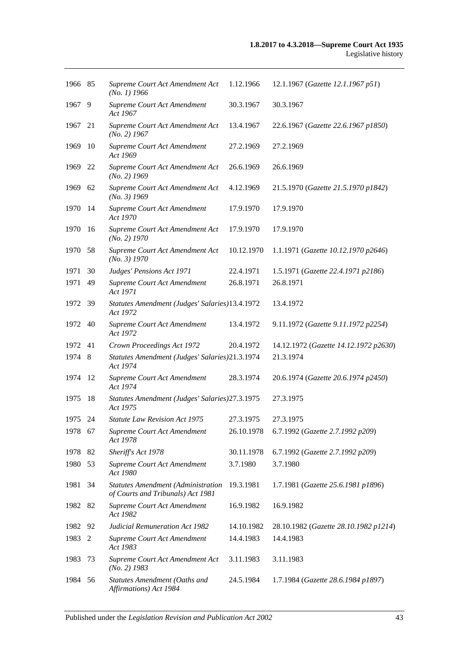| 1966 85 |     | Supreme Court Act Amendment Act<br>$(No. 1)$ 1966                              | 1.12.1966  | 12.1.1967 (Gazette 12.1.1967 p51)     |
|---------|-----|--------------------------------------------------------------------------------|------------|---------------------------------------|
| 1967    | 9   | Supreme Court Act Amendment<br>Act 1967                                        | 30.3.1967  | 30.3.1967                             |
| 1967    | 21  | Supreme Court Act Amendment Act<br>$(No. 2)$ 1967                              | 13.4.1967  | 22.6.1967 (Gazette 22.6.1967 p1850)   |
| 1969    | 10  | Supreme Court Act Amendment<br>Act 1969                                        | 27.2.1969  | 27.2.1969                             |
| 1969    | 22  | Supreme Court Act Amendment Act<br>$(No. 2)$ 1969                              | 26.6.1969  | 26.6.1969                             |
| 1969    | 62  | Supreme Court Act Amendment Act<br>$(No. 3)$ 1969                              | 4.12.1969  | 21.5.1970 (Gazette 21.5.1970 p1842)   |
| 1970    | -14 | Supreme Court Act Amendment<br>Act 1970                                        | 17.9.1970  | 17.9.1970                             |
| 1970    | 16  | Supreme Court Act Amendment Act<br>$(No. 2)$ 1970                              | 17.9.1970  | 17.9.1970                             |
| 1970    | 58  | Supreme Court Act Amendment Act<br>(No. 3) 1970                                | 10.12.1970 | 1.1.1971 (Gazette 10.12.1970 p2646)   |
| 1971    | 30  | Judges' Pensions Act 1971                                                      | 22.4.1971  | 1.5.1971 (Gazette 22.4.1971 p2186)    |
| 1971    | 49  | Supreme Court Act Amendment<br>Act 1971                                        | 26.8.1971  | 26.8.1971                             |
| 1972 39 |     | Statutes Amendment (Judges' Salaries)13.4.1972<br>Act 1972                     |            | 13.4.1972                             |
| 1972    | 40  | Supreme Court Act Amendment<br>Act 1972                                        | 13.4.1972  | 9.11.1972 (Gazette 9.11.1972 p2254)   |
| 1972    | 41  | Crown Proceedings Act 1972                                                     | 20.4.1972  | 14.12.1972 (Gazette 14.12.1972 p2630) |
| 1974    | 8   | Statutes Amendment (Judges' Salaries)21.3.1974<br>Act 1974                     |            | 21.3.1974                             |
| 1974    | 12  | Supreme Court Act Amendment<br>Act 1974                                        | 28.3.1974  | 20.6.1974 (Gazette 20.6.1974 p2450)   |
| 1975    | 18  | Statutes Amendment (Judges' Salaries) 27.3.1975<br>Act 1975                    |            | 27.3.1975                             |
| 1975 24 |     | <b>Statute Law Revision Act 1975</b>                                           | 27.3.1975  | 27.3.1975                             |
| 1978 67 |     | Supreme Court Act Amendment<br>Act 1978                                        | 26.10.1978 | 6.7.1992 (Gazette 2.7.1992 p209)      |
| 1978    | 82  | Sheriff's Act 1978                                                             | 30.11.1978 | 6.7.1992 (Gazette 2.7.1992 p209)      |
| 1980    | 53  | Supreme Court Act Amendment<br>Act 1980                                        | 3.7.1980   | 3.7.1980                              |
| 1981    | 34  | <b>Statutes Amendment (Administration</b><br>of Courts and Tribunals) Act 1981 | 19.3.1981  | 1.7.1981 (Gazette 25.6.1981 p1896)    |
| 1982    | 82  | Supreme Court Act Amendment<br>Act 1982                                        | 16.9.1982  | 16.9.1982                             |
| 1982    | 92  | <b>Judicial Remuneration Act 1982</b>                                          | 14.10.1982 | 28.10.1982 (Gazette 28.10.1982 p1214) |
| 1983    | 2   | Supreme Court Act Amendment<br>Act 1983                                        | 14.4.1983  | 14.4.1983                             |
| 1983    | 73  | Supreme Court Act Amendment Act<br>$(No. 2)$ 1983                              | 3.11.1983  | 3.11.1983                             |
| 1984    | 56  | Statutes Amendment (Oaths and<br>Affirmations) Act 1984                        | 24.5.1984  | 1.7.1984 (Gazette 28.6.1984 p1897)    |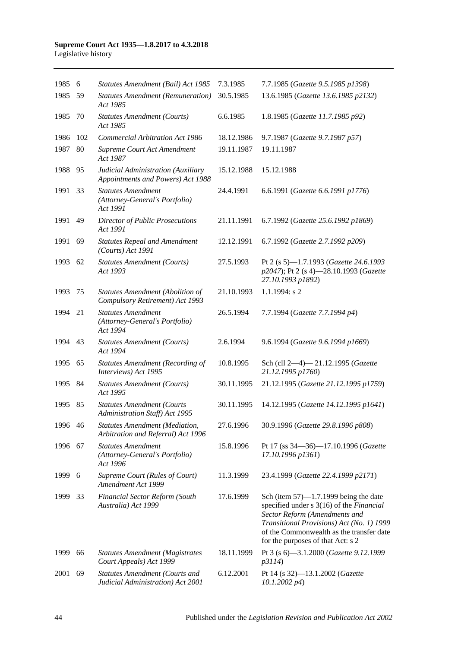#### **Supreme Court Act 1935—1.8.2017 to 4.3.2018** Legislative history

| 1985 6  |     | Statutes Amendment (Bail) Act 1985                                         | 7.3.1985   | 7.7.1985 (Gazette 9.5.1985 p1398)                                                                                                                                                                                                                   |
|---------|-----|----------------------------------------------------------------------------|------------|-----------------------------------------------------------------------------------------------------------------------------------------------------------------------------------------------------------------------------------------------------|
| 1985    | 59  | <b>Statutes Amendment (Remuneration)</b><br>Act 1985                       | 30.5.1985  | 13.6.1985 (Gazette 13.6.1985 p2132)                                                                                                                                                                                                                 |
| 1985    | 70  | <b>Statutes Amendment (Courts)</b><br>Act 1985                             | 6.6.1985   | 1.8.1985 (Gazette 11.7.1985 p92)                                                                                                                                                                                                                    |
| 1986    | 102 | <b>Commercial Arbitration Act 1986</b>                                     | 18.12.1986 | 9.7.1987 (Gazette 9.7.1987 p57)                                                                                                                                                                                                                     |
| 1987    | 80  | Supreme Court Act Amendment<br>Act 1987                                    | 19.11.1987 | 19.11.1987                                                                                                                                                                                                                                          |
| 1988    | 95  | Judicial Administration (Auxiliary<br>Appointments and Powers) Act 1988    | 15.12.1988 | 15.12.1988                                                                                                                                                                                                                                          |
| 1991    | 33  | <b>Statutes Amendment</b><br>(Attorney-General's Portfolio)<br>Act 1991    | 24.4.1991  | 6.6.1991 (Gazette 6.6.1991 p1776)                                                                                                                                                                                                                   |
| 1991    | 49  | <b>Director of Public Prosecutions</b><br>Act 1991                         | 21.11.1991 | 6.7.1992 (Gazette 25.6.1992 p1869)                                                                                                                                                                                                                  |
| 1991    | 69  | <b>Statutes Repeal and Amendment</b><br>(Courts) Act 1991                  | 12.12.1991 | 6.7.1992 (Gazette 2.7.1992 p209)                                                                                                                                                                                                                    |
| 1993    | 62  | <b>Statutes Amendment (Courts)</b><br>Act 1993                             | 27.5.1993  | Pt 2 (s 5)-1.7.1993 (Gazette 24.6.1993<br>p2047); Pt 2 (s 4)-28.10.1993 (Gazette<br>27.10.1993 p1892)                                                                                                                                               |
| 1993    | 75  | Statutes Amendment (Abolition of<br>Compulsory Retirement) Act 1993        | 21.10.1993 | $1.1.1994$ : s 2                                                                                                                                                                                                                                    |
| 1994    | 21  | <b>Statutes Amendment</b><br>(Attorney-General's Portfolio)<br>Act 1994    | 26.5.1994  | 7.7.1994 (Gazette 7.7.1994 p4)                                                                                                                                                                                                                      |
| 1994    | 43  | <b>Statutes Amendment (Courts)</b><br>Act 1994                             | 2.6.1994   | 9.6.1994 (Gazette 9.6.1994 p1669)                                                                                                                                                                                                                   |
| 1995    | 65  | <b>Statutes Amendment (Recording of</b><br>Interviews) Act 1995            | 10.8.1995  | Sch (cll 2-4)-21.12.1995 (Gazette<br>21.12.1995 p1760)                                                                                                                                                                                              |
| 1995    | -84 | <b>Statutes Amendment (Courts)</b><br>Act 1995                             | 30.11.1995 | 21.12.1995 (Gazette 21.12.1995 p1759)                                                                                                                                                                                                               |
| 1995    | 85  | <b>Statutes Amendment (Courts</b><br>Administration Staff) Act 1995        | 30.11.1995 | 14.12.1995 (Gazette 14.12.1995 p1641)                                                                                                                                                                                                               |
| 1996 46 |     | Statutes Amendment (Mediation,<br>Arbitration and Referral) Act 1996       | 27.6.1996  | 30.9.1996 (Gazette 29.8.1996 p808)                                                                                                                                                                                                                  |
| 1996    | 67  | <b>Statutes Amendment</b><br>(Attorney-General's Portfolio)<br>Act 1996    | 15.8.1996  | Pt 17 (ss 34-36)-17.10.1996 (Gazette<br>17.10.1996 p1361)                                                                                                                                                                                           |
| 1999    | - 6 | Supreme Court (Rules of Court)<br>Amendment Act 1999                       | 11.3.1999  | 23.4.1999 (Gazette 22.4.1999 p2171)                                                                                                                                                                                                                 |
| 1999    | 33  | <b>Financial Sector Reform (South</b><br>Australia) Act 1999               | 17.6.1999  | Sch (item $57$ )—1.7.1999 being the date<br>specified under s 3(16) of the Financial<br>Sector Reform (Amendments and<br>Transitional Provisions) Act (No. 1) 1999<br>of the Commonwealth as the transfer date<br>for the purposes of that Act: s 2 |
| 1999    | 66  | <b>Statutes Amendment (Magistrates</b><br>Court Appeals) Act 1999          | 18.11.1999 | Pt 3 (s 6)-3.1.2000 (Gazette 9.12.1999<br>p3114)                                                                                                                                                                                                    |
| 2001    | 69  | <b>Statutes Amendment (Courts and</b><br>Judicial Administration) Act 2001 | 6.12.2001  | Pt 14 (s 32)-13.1.2002 (Gazette<br>$10.1.2002\ p4$                                                                                                                                                                                                  |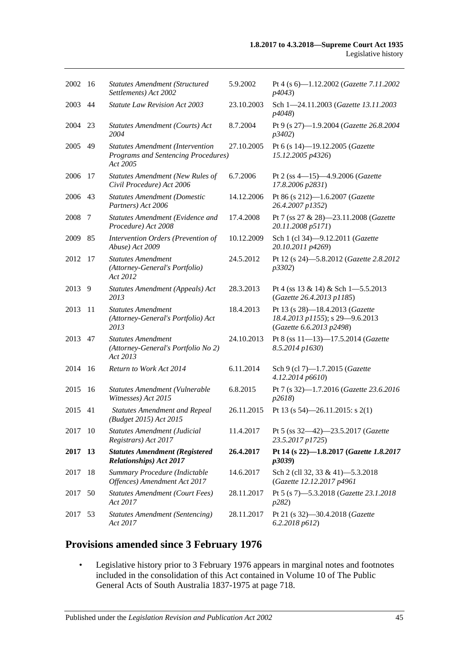| 2002    | -16           | <b>Statutes Amendment (Structured</b><br>Settlements) Act 2002                                    | 5.9.2002   | Pt 4 (s 6)-1.12.2002 (Gazette 7.11.2002<br><i>p4043</i> )                                      |
|---------|---------------|---------------------------------------------------------------------------------------------------|------------|------------------------------------------------------------------------------------------------|
| 2003    | 44            | <b>Statute Law Revision Act 2003</b>                                                              | 23.10.2003 | Sch 1-24.11.2003 (Gazette 13.11.2003<br>p4048)                                                 |
| 2004    | 23            | Statutes Amendment (Courts) Act<br>2004                                                           | 8.7.2004   | Pt 9 (s 27)-1.9.2004 (Gazette 26.8.2004<br>p3402)                                              |
| 2005 49 |               | <b>Statutes Amendment (Intervention</b><br><b>Programs and Sentencing Procedures)</b><br>Act 2005 | 27.10.2005 | Pt 6 (s 14)-19.12.2005 (Gazette<br>15.12.2005 p4326)                                           |
| 2006    | 17            | <b>Statutes Amendment (New Rules of</b><br>Civil Procedure) Act 2006                              | 6.7.2006   | Pt 2 (ss 4-15)-4.9.2006 (Gazette<br>17.8.2006 p2831)                                           |
| 2006    | 43            | <b>Statutes Amendment (Domestic</b><br>Partners) Act 2006                                         | 14.12.2006 | Pt 86 (s 212)-1.6.2007 (Gazette<br>26.4.2007 p1352)                                            |
| 2008    | 7             | Statutes Amendment (Evidence and<br>Procedure) Act 2008                                           | 17.4.2008  | Pt 7 (ss 27 & 28)-23.11.2008 (Gazette<br>20.11.2008 p5171)                                     |
| 2009    | 85            | Intervention Orders (Prevention of<br>Abuse) Act 2009                                             | 10.12.2009 | Sch 1 (cl 34)-9.12.2011 (Gazette<br>20.10.2011 p4269)                                          |
| 2012    | 17            | <b>Statutes Amendment</b><br>(Attorney-General's Portfolio)<br>Act 2012                           | 24.5.2012  | Pt 12 (s 24)-5.8.2012 (Gazette 2.8.2012<br>p3302                                               |
| 2013    | 9             | Statutes Amendment (Appeals) Act<br>2013                                                          | 28.3.2013  | Pt 4 (ss $13 \& 14$ ) & Sch 1-5.5.2013<br>(Gazette 26.4.2013 p1185)                            |
| 2013    | <sup>11</sup> | <b>Statutes Amendment</b><br>(Attorney-General's Portfolio) Act<br>2013                           | 18.4.2013  | Pt 13 (s 28)-18.4.2013 (Gazette<br>18.4.2013 p1155); s 29-9.6.2013<br>(Gazette 6.6.2013 p2498) |
| 2013    | 47            | <b>Statutes Amendment</b><br>(Attorney-General's Portfolio No 2)<br>Act 2013                      | 24.10.2013 | Pt 8 (ss 11-13)-17.5.2014 (Gazette<br>8.5.2014 p1630)                                          |
| 2014    | - 16          | Return to Work Act 2014                                                                           | 6.11.2014  | Sch 9 (cl 7)-1.7.2015 (Gazette<br>4.12.2014 p6610)                                             |
| 2015    | 16            | Statutes Amendment (Vulnerable<br>Witnesses) Act 2015                                             | 6.8.2015   | Pt 7 (s 32)-1.7.2016 (Gazette 23.6.2016<br>p2618                                               |
| 2015    | 41            | <b>Statutes Amendment and Repeal</b><br>(Budget 2015) Act 2015                                    | 26.11.2015 | Pt 13 (s $54$ )-26.11.2015: s 2(1)                                                             |
| 2017    | - 10          | Statutes Amendment (Judicial<br>Registrars) Act 2017                                              | 11.4.2017  | Pt 5 (ss 32-42)-23.5.2017 (Gazette<br>23.5.2017 p1725)                                         |
| 2017 13 |               | <b>Statutes Amendment (Registered</b><br>Relationships) Act 2017                                  | 26.4.2017  | Pt 14 (s 22)-1.8.2017 (Gazette 1.8.2017<br>p3039)                                              |
| 2017    | 18            | Summary Procedure (Indictable<br>Offences) Amendment Act 2017                                     | 14.6.2017  | Sch 2 (cll 32, 33 & 41)-5.3.2018<br>(Gazette 12.12.2017 p4961                                  |
| 2017    | 50            | <b>Statutes Amendment (Court Fees)</b><br>Act 2017                                                | 28.11.2017 | Pt 5 (s 7)-5.3.2018 (Gazette 23.1.2018<br>p282)                                                |
| 2017    | 53            | <b>Statutes Amendment (Sentencing)</b><br>Act 2017                                                | 28.11.2017 | Pt 21 (s 32)-30.4.2018 (Gazette<br>6.2.2018 p612)                                              |

# **Provisions amended since 3 February 1976**

• Legislative history prior to 3 February 1976 appears in marginal notes and footnotes included in the consolidation of this Act contained in Volume 10 of The Public General Acts of South Australia 1837-1975 at page 718.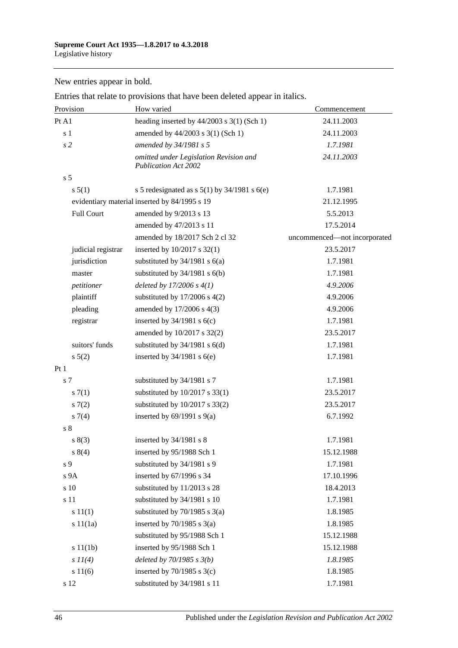New entries appear in bold.

| Provision          | How varied                                                            | Commencement                 |
|--------------------|-----------------------------------------------------------------------|------------------------------|
| Pt A1              | heading inserted by $44/2003$ s 3(1) (Sch 1)                          | 24.11.2003                   |
| s <sub>1</sub>     | amended by 44/2003 s 3(1) (Sch 1)                                     | 24.11.2003                   |
| s <sub>2</sub>     | amended by 34/1981 s 5                                                | 1.7.1981                     |
|                    | omitted under Legislation Revision and<br><b>Publication Act 2002</b> | 24.11.2003                   |
| s <sub>5</sub>     |                                                                       |                              |
| s 5(1)             | s 5 redesignated as s $5(1)$ by $34/1981$ s $6(e)$                    | 1.7.1981                     |
|                    | evidentiary material inserted by 84/1995 s 19                         | 21.12.1995                   |
| <b>Full Court</b>  | amended by 9/2013 s 13                                                | 5.5.2013                     |
|                    | amended by 47/2013 s 11                                               | 17.5.2014                    |
|                    | amended by 18/2017 Sch 2 cl 32                                        | uncommenced-not incorporated |
| judicial registrar | inserted by 10/2017 s 32(1)                                           | 23.5.2017                    |
| jurisdiction       | substituted by $34/1981$ s $6(a)$                                     | 1.7.1981                     |
| master             | substituted by $34/1981$ s $6(b)$                                     | 1.7.1981                     |
| petitioner         | deleted by $17/2006 s 4(1)$                                           | 4.9.2006                     |
| plaintiff          | substituted by $17/2006$ s $4(2)$                                     | 4.9.2006                     |
| pleading           | amended by 17/2006 s 4(3)                                             | 4.9.2006                     |
| registrar          | inserted by $34/1981$ s $6(c)$                                        | 1.7.1981                     |
|                    | amended by 10/2017 s 32(2)                                            | 23.5.2017                    |
| suitors' funds     | substituted by $34/1981$ s $6(d)$                                     | 1.7.1981                     |
| $s\ 5(2)$          | inserted by $34/1981$ s $6(e)$                                        | 1.7.1981                     |
| Pt1                |                                                                       |                              |
| s 7                | substituted by 34/1981 s 7                                            | 1.7.1981                     |
| s(7(1))            | substituted by $10/2017$ s 33(1)                                      | 23.5.2017                    |
| s(7(2)             | substituted by $10/2017$ s 33(2)                                      | 23.5.2017                    |
| $s \, 7(4)$        | inserted by $69/1991$ s $9(a)$                                        | 6.7.1992                     |
| s <sub>8</sub>     |                                                                       |                              |
| s(3)               | inserted by $34/1981$ s 8                                             | 1.7.1981                     |
| $s \ 8(4)$         | inserted by 95/1988 Sch 1                                             | 15.12.1988                   |
| s 9                | substituted by 34/1981 s 9                                            | 1.7.1981                     |
| s 9A               | inserted by 67/1996 s 34                                              | 17.10.1996                   |
| s 10               | substituted by 11/2013 s 28                                           | 18.4.2013                    |
| s 11               | substituted by 34/1981 s 10                                           | 1.7.1981                     |
| s 11(1)            | substituted by $70/1985$ s $3(a)$                                     | 1.8.1985                     |
| s 11(1a)           | inserted by $70/1985$ s $3(a)$                                        | 1.8.1985                     |
|                    | substituted by 95/1988 Sch 1                                          | 15.12.1988                   |
| s 11(1b)           | inserted by 95/1988 Sch 1                                             | 15.12.1988                   |
| $s$ $11(4)$        | deleted by $70/1985 s 3(b)$                                           | 1.8.1985                     |
| s 11(6)            | inserted by $70/1985$ s $3(c)$                                        | 1.8.1985                     |
| s 12               | substituted by 34/1981 s 11                                           | 1.7.1981                     |

Entries that relate to provisions that have been deleted appear in italics.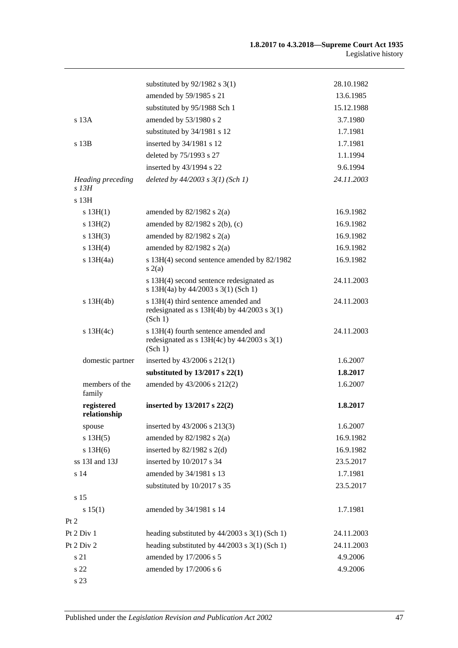|                                     | substituted by $92/1982$ s 3(1)                                                                    | 28.10.1982 |
|-------------------------------------|----------------------------------------------------------------------------------------------------|------------|
|                                     | amended by 59/1985 s 21                                                                            | 13.6.1985  |
|                                     | substituted by 95/1988 Sch 1                                                                       | 15.12.1988 |
| s 13A                               | amended by 53/1980 s 2                                                                             | 3.7.1980   |
|                                     | substituted by 34/1981 s 12                                                                        | 1.7.1981   |
| $s$ 13 $B$                          | inserted by 34/1981 s 12                                                                           | 1.7.1981   |
|                                     | deleted by 75/1993 s 27                                                                            | 1.1.1994   |
|                                     | inserted by 43/1994 s 22                                                                           | 9.6.1994   |
| <b>Heading preceding</b><br>$s$ 13H | deleted by $44/2003$ s $3(1)$ (Sch 1)                                                              | 24.11.2003 |
| s 13H                               |                                                                                                    |            |
| s 13H(1)                            | amended by $82/1982$ s $2(a)$                                                                      | 16.9.1982  |
| s 13H(2)                            | amended by $82/1982$ s $2(b)$ , (c)                                                                | 16.9.1982  |
| s 13H(3)                            | amended by $82/1982$ s $2(a)$                                                                      | 16.9.1982  |
| s 13H(4)                            | amended by $82/1982$ s $2(a)$                                                                      | 16.9.1982  |
| $s$ 13H $(4a)$                      | s 13H(4) second sentence amended by 82/1982<br>s(2(a)                                              | 16.9.1982  |
|                                     | s 13H(4) second sentence redesignated as<br>s 13H(4a) by 44/2003 s 3(1) (Sch 1)                    | 24.11.2003 |
| $s$ 13H(4b)                         | s 13H(4) third sentence amended and<br>redesignated as $s$ 13H(4b) by 44/2003 $s$ 3(1)<br>(Sch 1)  | 24.11.2003 |
| $s$ 13H(4c)                         | s 13H(4) fourth sentence amended and<br>redesignated as $s$ 13H(4c) by 44/2003 $s$ 3(1)<br>(Sch 1) | 24.11.2003 |
| domestic partner                    | inserted by $43/2006$ s $212(1)$                                                                   | 1.6.2007   |
|                                     | substituted by $13/2017$ s $22(1)$                                                                 | 1.8.2017   |
| members of the<br>family            | amended by 43/2006 s 212(2)                                                                        | 1.6.2007   |
| registered<br>relationship          | inserted by $13/2017$ s $22(2)$                                                                    | 1.8.2017   |
| spouse                              | inserted by 43/2006 s 213(3)                                                                       | 1.6.2007   |
| s 13H(5)                            | amended by $82/1982$ s $2(a)$                                                                      | 16.9.1982  |
| $s$ 13H $(6)$                       | inserted by $82/1982$ s 2(d)                                                                       | 16.9.1982  |
| ss 13I and 13J                      | inserted by 10/2017 s 34                                                                           | 23.5.2017  |
| s 14                                | amended by 34/1981 s 13                                                                            | 1.7.1981   |
|                                     | substituted by 10/2017 s 35                                                                        | 23.5.2017  |
| s 15                                |                                                                                                    |            |
| s 15(1)                             | amended by 34/1981 s 14                                                                            | 1.7.1981   |
| Pt 2                                |                                                                                                    |            |
| Pt 2 Div 1                          | heading substituted by $44/2003$ s 3(1) (Sch 1)                                                    | 24.11.2003 |
| Pt 2 Div 2                          | heading substituted by $44/2003$ s 3(1) (Sch 1)                                                    | 24.11.2003 |
| s 21                                | amended by 17/2006 s 5                                                                             | 4.9.2006   |
| s 22                                | amended by 17/2006 s 6                                                                             | 4.9.2006   |
| s 23                                |                                                                                                    |            |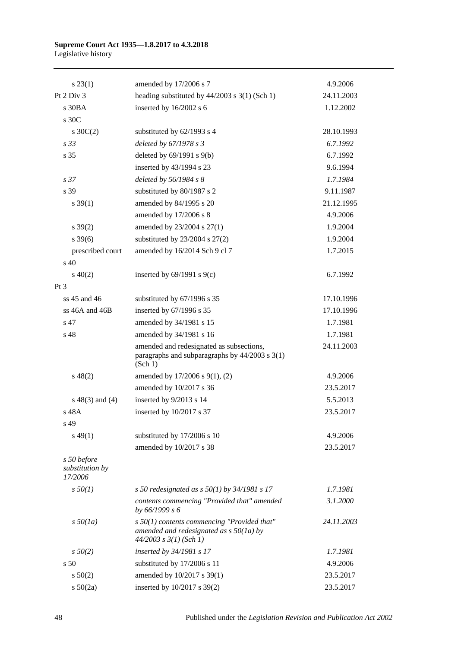#### **Supreme Court Act 1935—1.8.2017 to 4.3.2018** Legislative history

| s 23(1)                                   | amended by 17/2006 s 7                                                                                                   | 4.9.2006   |
|-------------------------------------------|--------------------------------------------------------------------------------------------------------------------------|------------|
| Pt 2 Div 3                                | heading substituted by $44/2003$ s 3(1) (Sch 1)                                                                          | 24.11.2003 |
| s 30BA                                    | inserted by 16/2002 s 6                                                                                                  | 1.12.2002  |
| s 30C                                     |                                                                                                                          |            |
| s $30C(2)$                                | substituted by 62/1993 s 4                                                                                               | 28.10.1993 |
| s 33                                      | deleted by 67/1978 s 3                                                                                                   | 6.7.1992   |
| s 35                                      | deleted by 69/1991 s 9(b)                                                                                                | 6.7.1992   |
|                                           | inserted by 43/1994 s 23                                                                                                 | 9.6.1994   |
| s <sub>37</sub>                           | deleted by 56/1984 s 8                                                                                                   | 1.7.1984   |
| s 39                                      | substituted by 80/1987 s 2                                                                                               | 9.11.1987  |
| $s \, 39(1)$                              | amended by 84/1995 s 20                                                                                                  | 21.12.1995 |
|                                           | amended by 17/2006 s 8                                                                                                   | 4.9.2006   |
| $s \, 39(2)$                              | amended by 23/2004 s 27(1)                                                                                               | 1.9.2004   |
| $s\,39(6)$                                | substituted by $23/2004$ s $27(2)$                                                                                       | 1.9.2004   |
| prescribed court                          | amended by 16/2014 Sch 9 cl 7                                                                                            | 1.7.2015   |
| s 40                                      |                                                                                                                          |            |
| $s\ 40(2)$                                | inserted by $69/1991$ s $9(c)$                                                                                           | 6.7.1992   |
| Pt <sub>3</sub>                           |                                                                                                                          |            |
| ss 45 and 46                              | substituted by 67/1996 s 35                                                                                              | 17.10.1996 |
| ss 46A and 46B                            | inserted by 67/1996 s 35                                                                                                 | 17.10.1996 |
| s 47                                      | amended by 34/1981 s 15                                                                                                  | 1.7.1981   |
| s 48                                      | amended by 34/1981 s 16                                                                                                  | 1.7.1981   |
|                                           | amended and redesignated as subsections,<br>paragraphs and subparagraphs by $44/2003$ s $3(1)$<br>(Sch 1)                | 24.11.2003 |
| $s\ 48(2)$                                | amended by 17/2006 s 9(1), (2)                                                                                           | 4.9.2006   |
|                                           | amended by 10/2017 s 36                                                                                                  | 23.5.2017  |
| $s\ 48(3)$ and (4)                        | inserted by 9/2013 s 14                                                                                                  | 5.5.2013   |
| s 48A                                     | inserted by 10/2017 s 37                                                                                                 | 23.5.2017  |
| s 49                                      |                                                                                                                          |            |
| $s\,49(1)$                                | substituted by 17/2006 s 10                                                                                              | 4.9.2006   |
|                                           | amended by 10/2017 s 38                                                                                                  | 23.5.2017  |
| s 50 before<br>substitution by<br>17/2006 |                                                                                                                          |            |
| $s\,50(1)$                                | s 50 redesignated as s $50(1)$ by 34/1981 s 17                                                                           | 1.7.1981   |
|                                           | contents commencing "Provided that" amended<br>by 66/1999 s 6                                                            | 3.1.2000   |
| $s\,50(1a)$                               | $s$ 50(1) contents commencing "Provided that"<br>amended and redesignated as $s$ 50(1a) by<br>$44/2003$ s $3(1)$ (Sch 1) | 24.11.2003 |
| $s\,50(2)$                                | inserted by 34/1981 s 17                                                                                                 | 1.7.1981   |
| s <sub>50</sub>                           | substituted by 17/2006 s 11                                                                                              | 4.9.2006   |
| $s\ 50(2)$                                | amended by 10/2017 s 39(1)                                                                                               | 23.5.2017  |
| s 50(2a)                                  | inserted by 10/2017 s 39(2)                                                                                              | 23.5.2017  |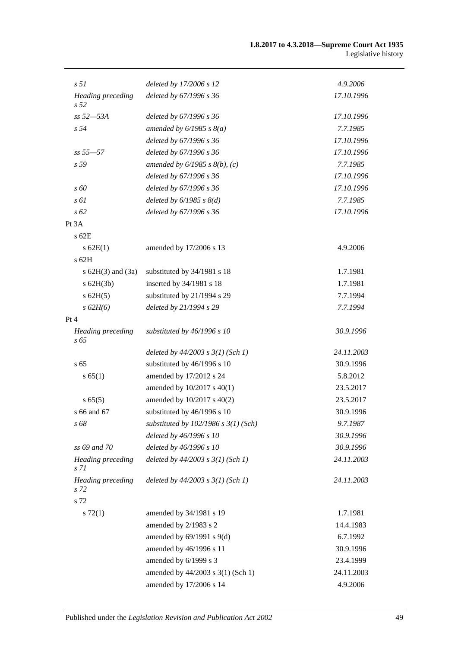| s <sub>51</sub>                             | deleted by 17/2006 s 12                  | 4.9.2006   |
|---------------------------------------------|------------------------------------------|------------|
| <b>Heading</b> preceding<br>s <sub>52</sub> | deleted by 67/1996 s 36                  | 17.10.1996 |
| $ss 52 - 53A$                               | deleted by 67/1996 s 36                  | 17.10.1996 |
| s <sub>54</sub>                             | amended by $6/1985$ s $8(a)$             | 7.7.1985   |
|                                             | deleted by 67/1996 s 36                  | 17.10.1996 |
| $ss 55 - 57$                                | deleted by 67/1996 s 36                  | 17.10.1996 |
| s 59                                        | amended by $6/1985$ s $8(b)$ , (c)       | 7.7.1985   |
|                                             | deleted by 67/1996 s 36                  | 17.10.1996 |
| $\sqrt{s}$ 60                               | deleted by 67/1996 s 36                  | 17.10.1996 |
| s 61                                        | deleted by $6/1985 s 8(d)$               | 7.7.1985   |
| $s\,62$                                     | deleted by 67/1996 s 36                  | 17.10.1996 |
| Pt 3A                                       |                                          |            |
| $s$ 62 $E$                                  |                                          |            |
| s 62E(1)                                    | amended by 17/2006 s 13                  | 4.9.2006   |
| $s$ 62H                                     |                                          |            |
| s $62H(3)$ and $(3a)$                       | substituted by 34/1981 s 18              | 1.7.1981   |
| $s$ 62H(3b)                                 | inserted by 34/1981 s 18                 | 1.7.1981   |
| $s$ 62H $(5)$                               | substituted by 21/1994 s 29              | 7.7.1994   |
| $s$ 62H(6)                                  | deleted by 21/1994 s 29                  | 7.7.1994   |
| Pt 4                                        |                                          |            |
| Heading preceding<br>s 65                   | substituted by $46/1996 s 10$            | 30.9.1996  |
|                                             | deleted by $44/2003$ s $3(1)$ (Sch 1)    | 24.11.2003 |
| s <sub>65</sub>                             | substituted by 46/1996 s 10              | 30.9.1996  |
| s 65(1)                                     | amended by 17/2012 s 24                  | 5.8.2012   |
|                                             | amended by 10/2017 s 40(1)               | 23.5.2017  |
| s 65(5)                                     | amended by 10/2017 s 40(2)               | 23.5.2017  |
| s 66 and 67                                 | substituted by 46/1996 s 10              | 30.9.1996  |
| s 68                                        | substituted by $102/1986$ s $3(1)$ (Sch) | 9.7.1987   |
|                                             | deleted by 46/1996 s 10                  | 30.9.1996  |
| ss 69 and 70                                | deleted by 46/1996 s 10                  | 30.9.1996  |
| Heading preceding<br>s 71                   | deleted by $44/2003$ s $3(1)$ (Sch 1)    | 24.11.2003 |
| <b>Heading</b> preceding<br>s 72            | deleted by $44/2003$ s $3(1)$ (Sch 1)    | 24.11.2003 |
| s 72                                        |                                          |            |
| s 72(1)                                     | amended by 34/1981 s 19                  | 1.7.1981   |
|                                             | amended by 2/1983 s 2                    | 14.4.1983  |
|                                             | amended by $69/1991$ s $9(d)$            | 6.7.1992   |
|                                             | amended by 46/1996 s 11                  | 30.9.1996  |
|                                             | amended by 6/1999 s 3                    | 23.4.1999  |
|                                             | amended by 44/2003 s 3(1) (Sch 1)        | 24.11.2003 |
|                                             | amended by 17/2006 s 14                  | 4.9.2006   |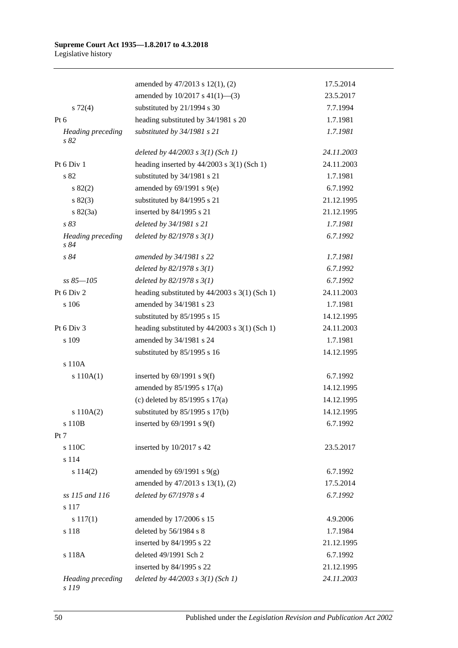|                                   | amended by 47/2013 s 12(1), (2)                   | 17.5.2014  |
|-----------------------------------|---------------------------------------------------|------------|
|                                   | amended by $10/2017$ s $41(1)$ —(3)               | 23.5.2017  |
| $s \, 72(4)$                      | substituted by 21/1994 s 30                       | 7.7.1994   |
| Pt 6                              | heading substituted by 34/1981 s 20               | 1.7.1981   |
| Heading preceding<br>s82          | substituted by 34/1981 s 21                       | 1.7.1981   |
|                                   | deleted by $44/2003$ s $3(1)$ (Sch 1)             | 24.11.2003 |
| Pt 6 Div 1                        | heading inserted by $44/2003$ s 3(1) (Sch 1)      | 24.11.2003 |
| s 82                              | substituted by 34/1981 s 21                       | 1.7.1981   |
| s 82(2)                           | amended by 69/1991 s 9(e)                         | 6.7.1992   |
| $s\,82(3)$                        | substituted by 84/1995 s 21                       | 21.12.1995 |
| $s \, 82(3a)$                     | inserted by 84/1995 s 21                          | 21.12.1995 |
| s 83                              | deleted by 34/1981 s 21                           | 1.7.1981   |
| <b>Heading</b> preceding<br>s 84  | deleted by $82/1978 s 3(1)$                       | 6.7.1992   |
| s 84                              | amended by 34/1981 s 22                           | 1.7.1981   |
|                                   | deleted by $82/1978 s 3(1)$                       | 6.7.1992   |
| $ss 85 - 105$                     | deleted by $82/1978 s 3(1)$                       | 6.7.1992   |
| Pt 6 Div 2                        | heading substituted by $44/2003$ s $3(1)$ (Sch 1) | 24.11.2003 |
| s 106                             | amended by 34/1981 s 23                           | 1.7.1981   |
|                                   | substituted by 85/1995 s 15                       | 14.12.1995 |
| Pt 6 Div 3                        | heading substituted by $44/2003$ s 3(1) (Sch 1)   | 24.11.2003 |
| s 109                             | amended by 34/1981 s 24                           | 1.7.1981   |
|                                   | substituted by 85/1995 s 16                       | 14.12.1995 |
| s 110A                            |                                                   |            |
| s 110A(1)                         | inserted by $69/1991$ s $9(f)$                    | 6.7.1992   |
|                                   | amended by 85/1995 s 17(a)                        | 14.12.1995 |
|                                   | (c) deleted by $85/1995$ s $17(a)$                | 14.12.1995 |
| s 110A(2)                         | substituted by $85/1995$ s 17(b)                  | 14.12.1995 |
| s 110B                            | inserted by $69/1991$ s $9(f)$                    | 6.7.1992   |
| Pt 7                              |                                                   |            |
| s 110C                            | inserted by $10/2017$ s 42                        | 23.5.2017  |
| s 114                             |                                                   |            |
| s 114(2)                          | amended by $69/1991$ s $9(g)$                     | 6.7.1992   |
|                                   | amended by 47/2013 s 13(1), (2)                   | 17.5.2014  |
| ss 115 and 116                    | deleted by $67/1978 s 4$                          | 6.7.1992   |
| s 117                             |                                                   |            |
| $s\ 117(1)$                       | amended by 17/2006 s 15                           | 4.9.2006   |
| s 118                             | deleted by 56/1984 s 8                            | 1.7.1984   |
|                                   | inserted by 84/1995 s 22                          | 21.12.1995 |
| s 118A                            | deleted 49/1991 Sch 2                             | 6.7.1992   |
|                                   | inserted by 84/1995 s 22                          | 21.12.1995 |
| <b>Heading</b> preceding<br>s 119 | deleted by $44/2003$ s $3(1)$ (Sch 1)             | 24.11.2003 |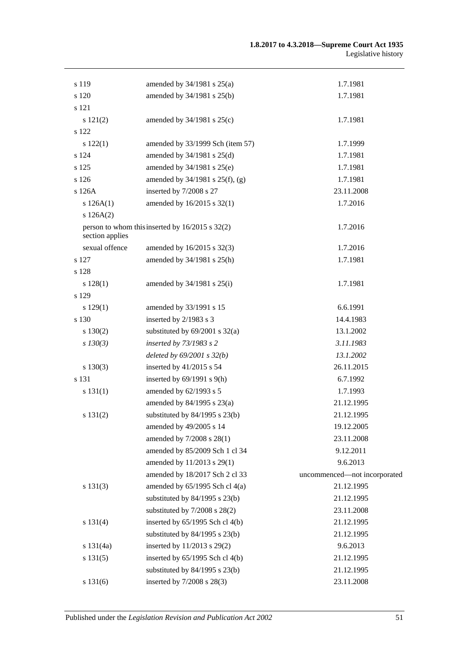| s 119           | amended by $34/1981$ s $25(a)$                      | 1.7.1981                     |
|-----------------|-----------------------------------------------------|------------------------------|
| s 120           | amended by 34/1981 s 25(b)                          | 1.7.1981                     |
| s 121           |                                                     |                              |
| s 121(2)        | amended by $34/1981$ s $25(c)$                      | 1.7.1981                     |
| s 122           |                                                     |                              |
| s 122(1)        | amended by 33/1999 Sch (item 57)                    | 1.7.1999                     |
| s 124           | amended by 34/1981 s 25(d)                          | 1.7.1981                     |
| s 125           | amended by 34/1981 s 25(e)                          | 1.7.1981                     |
| s 126           | amended by 34/1981 s 25(f), (g)                     | 1.7.1981                     |
| s 126A          | inserted by 7/2008 s 27                             | 23.11.2008                   |
| s $126A(1)$     | amended by 16/2015 s 32(1)                          | 1.7.2016                     |
| s 126A(2)       |                                                     |                              |
| section applies | person to whom this inserted by $16/2015$ s $32(2)$ | 1.7.2016                     |
| sexual offence  | amended by 16/2015 s 32(3)                          | 1.7.2016                     |
| s 127           | amended by 34/1981 s 25(h)                          | 1.7.1981                     |
| s 128           |                                                     |                              |
| s 128(1)        | amended by $34/1981$ s $25(i)$                      | 1.7.1981                     |
| s 129           |                                                     |                              |
| s 129(1)        | amended by 33/1991 s 15                             | 6.6.1991                     |
| s 130           | inserted by 2/1983 s 3                              | 14.4.1983                    |
| s 130(2)        | substituted by $69/2001$ s $32(a)$                  | 13.1.2002                    |
| $s$ 130(3)      | inserted by 73/1983 s 2                             | 3.11.1983                    |
|                 | deleted by $69/2001$ s $32(b)$                      | 13.1.2002                    |
| $s\ 130(3)$     | inserted by $41/2015$ s 54                          | 26.11.2015                   |
| s 131           | inserted by $69/1991$ s $9(h)$                      | 6.7.1992                     |
| s 131(1)        | amended by 62/1993 s 5                              | 1.7.1993                     |
|                 | amended by 84/1995 s 23(a)                          | 21.12.1995                   |
| s 131(2)        | substituted by $84/1995$ s $23(b)$                  | 21.12.1995                   |
|                 | amended by 49/2005 s 14                             | 19.12.2005                   |
|                 | amended by 7/2008 s 28(1)                           | 23.11.2008                   |
|                 | amended by 85/2009 Sch 1 cl 34                      | 9.12.2011                    |
|                 | amended by 11/2013 s 29(1)                          | 9.6.2013                     |
|                 | amended by 18/2017 Sch 2 cl 33                      | uncommenced-not incorporated |
| s 131(3)        | amended by $65/1995$ Sch cl $4(a)$                  | 21.12.1995                   |
|                 | substituted by $84/1995$ s $23(b)$                  | 21.12.1995                   |
|                 | substituted by $7/2008$ s $28(2)$                   | 23.11.2008                   |
| s 131(4)        | inserted by 65/1995 Sch cl 4(b)                     | 21.12.1995                   |
|                 | substituted by $84/1995$ s $23(b)$                  | 21.12.1995                   |
| s 131(4a)       | inserted by 11/2013 s 29(2)                         | 9.6.2013                     |
| s 131(5)        | inserted by 65/1995 Sch cl 4(b)                     | 21.12.1995                   |
|                 | substituted by $84/1995$ s $23(b)$                  | 21.12.1995                   |
| s 131(6)        | inserted by 7/2008 s 28(3)                          | 23.11.2008                   |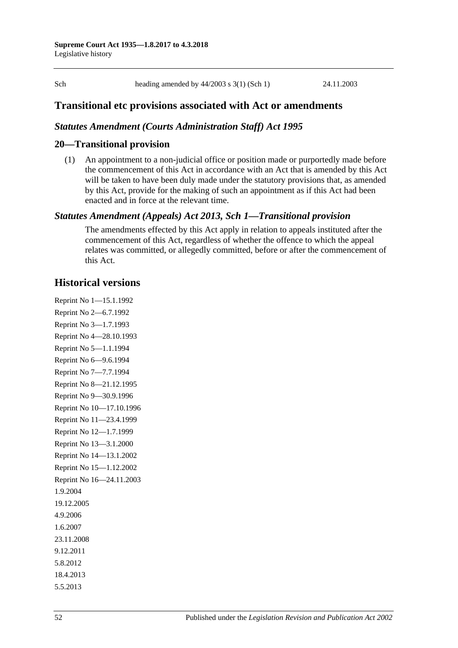Sch heading amended by 44/2003 s 3(1) (Sch 1) 24.11.2003

# **Transitional etc provisions associated with Act or amendments**

### *Statutes Amendment (Courts Administration Staff) Act 1995*

### **20—Transitional provision**

(1) An appointment to a non-judicial office or position made or purportedly made before the commencement of this Act in accordance with an Act that is amended by this Act will be taken to have been duly made under the statutory provisions that, as amended by this Act, provide for the making of such an appointment as if this Act had been enacted and in force at the relevant time.

### *Statutes Amendment (Appeals) Act 2013, Sch 1—Transitional provision*

The amendments effected by this Act apply in relation to appeals instituted after the commencement of this Act, regardless of whether the offence to which the appeal relates was committed, or allegedly committed, before or after the commencement of this Act.

# **Historical versions**

Reprint No 1—15.1.1992 Reprint No 2—6.7.1992 Reprint No 3—1.7.1993 Reprint No 4—28.10.1993 Reprint No 5—1.1.1994 Reprint No 6—9.6.1994 Reprint No 7—7.7.1994 Reprint No 8—21.12.1995 Reprint No 9—30.9.1996 Reprint No 10—17.10.1996 Reprint No 11—23.4.1999 Reprint No 12—1.7.1999 Reprint No 13—3.1.2000 Reprint No 14—13.1.2002 Reprint No 15—1.12.2002 Reprint No 16—24.11.2003 1.9.2004 19.12.2005 4.9.2006 1.6.2007 23.11.2008 9.12.2011 5.8.2012 18.4.2013 5.5.2013